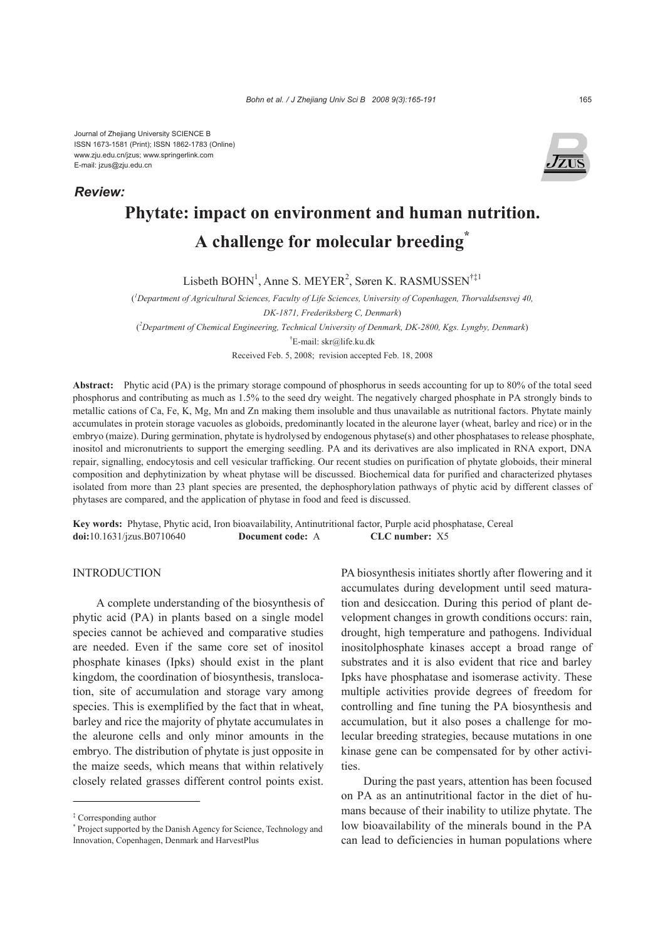*Review:*



# **Phytate: impact on environment and human nutrition. A challenge for molecular breeding\***

Lisbeth BOHN<sup>1</sup>, Anne S. MEYER<sup>2</sup>, Søren K. RASMUSSEN<sup>†‡1</sup>

( *1 Department of Agricultural Sciences, Faculty of Life Sciences, University of Copenhagen, Thorvaldsensvej 40, DK-1871, Frederiksberg C, Denmark*) ( *2 Department of Chemical Engineering, Technical University of Denmark, DK-2800, Kgs. Lyngby, Denmark*) † E-mail: skr@life.ku.dk Received Feb. 5, 2008; revision accepted Feb. 18, 2008

**Abstract:** Phytic acid (PA) is the primary storage compound of phosphorus in seeds accounting for up to 80% of the total seed phosphorus and contributing as much as 1.5% to the seed dry weight. The negatively charged phosphate in PA strongly binds to metallic cations of Ca, Fe, K, Mg, Mn and Zn making them insoluble and thus unavailable as nutritional factors. Phytate mainly accumulates in protein storage vacuoles as globoids, predominantly located in the aleurone layer (wheat, barley and rice) or in the embryo (maize). During germination, phytate is hydrolysed by endogenous phytase(s) and other phosphatases to release phosphate, inositol and micronutrients to support the emerging seedling. PA and its derivatives are also implicated in RNA export, DNA repair, signalling, endocytosis and cell vesicular trafficking. Our recent studies on purification of phytate globoids, their mineral composition and dephytinization by wheat phytase will be discussed. Biochemical data for purified and characterized phytases isolated from more than 23 plant species are presented, the dephosphorylation pathways of phytic acid by different classes of phytases are compared, and the application of phytase in food and feed is discussed.

**Key words:** Phytase, Phytic acid, Iron bioavailability, Antinutritional factor, Purple acid phosphatase, Cereal **doi:**10.1631/jzus.B0710640 **Document code:** A **CLC number:** X5

# INTRODUCTION

A complete understanding of the biosynthesis of phytic acid (PA) in plants based on a single model species cannot be achieved and comparative studies are needed. Even if the same core set of inositol phosphate kinases (Ipks) should exist in the plant kingdom, the coordination of biosynthesis, translocation, site of accumulation and storage vary among species. This is exemplified by the fact that in wheat, barley and rice the majority of phytate accumulates in the aleurone cells and only minor amounts in the embryo. The distribution of phytate is just opposite in the maize seeds, which means that within relatively closely related grasses different control points exist. PA biosynthesis initiates shortly after flowering and it accumulates during development until seed maturation and desiccation. During this period of plant development changes in growth conditions occurs: rain, drought, high temperature and pathogens. Individual inositolphosphate kinases accept a broad range of substrates and it is also evident that rice and barley Ipks have phosphatase and isomerase activity. These multiple activities provide degrees of freedom for controlling and fine tuning the PA biosynthesis and accumulation, but it also poses a challenge for molecular breeding strategies, because mutations in one kinase gene can be compensated for by other activities.

During the past years, attention has been focused on PA as an antinutritional factor in the diet of humans because of their inability to utilize phytate. The low bioavailability of the minerals bound in the PA can lead to deficiencies in human populations where

<sup>‡</sup> Corresponding author

<sup>\*</sup> Project supported by the Danish Agency for Science, Technology and Innovation, Copenhagen, Denmark and HarvestPlus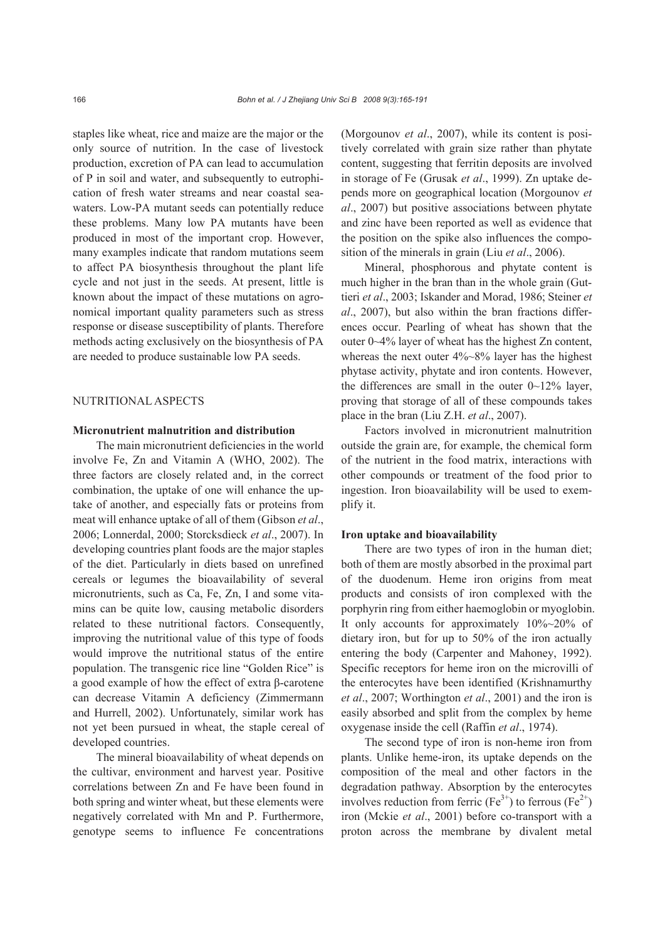staples like wheat, rice and maize are the major or the only source of nutrition. In the case of livestock production, excretion of PA can lead to accumulation of P in soil and water, and subsequently to eutrophication of fresh water streams and near coastal seawaters. Low-PA mutant seeds can potentially reduce these problems. Many low PA mutants have been produced in most of the important crop. However, many examples indicate that random mutations seem to affect PA biosynthesis throughout the plant life cycle and not just in the seeds. At present, little is known about the impact of these mutations on agronomical important quality parameters such as stress response or disease susceptibility of plants. Therefore methods acting exclusively on the biosynthesis of PA are needed to produce sustainable low PA seeds.

# NUTRITIONAL ASPECTS

## **Micronutrient malnutrition and distribution**

The main micronutrient deficiencies in the world involve Fe, Zn and Vitamin A (WHO, 2002). The three factors are closely related and, in the correct combination, the uptake of one will enhance the uptake of another, and especially fats or proteins from meat will enhance uptake of all of them (Gibson *et al*., 2006; Lonnerdal, 2000; Storcksdieck *et al*., 2007). In developing countries plant foods are the major staples of the diet. Particularly in diets based on unrefined cereals or legumes the bioavailability of several micronutrients, such as Ca, Fe, Zn, I and some vitamins can be quite low, causing metabolic disorders related to these nutritional factors. Consequently, improving the nutritional value of this type of foods would improve the nutritional status of the entire population. The transgenic rice line "Golden Rice" is a good example of how the effect of extra β-carotene can decrease Vitamin A deficiency (Zimmermann and Hurrell, 2002). Unfortunately, similar work has not yet been pursued in wheat, the staple cereal of developed countries.

The mineral bioavailability of wheat depends on the cultivar, environment and harvest year. Positive correlations between Zn and Fe have been found in both spring and winter wheat, but these elements were negatively correlated with Mn and P. Furthermore, genotype seems to influence Fe concentrations (Morgounov *et al*., 2007), while its content is positively correlated with grain size rather than phytate content, suggesting that ferritin deposits are involved in storage of Fe (Grusak *et al*., 1999). Zn uptake depends more on geographical location (Morgounov *et al*., 2007) but positive associations between phytate and zinc have been reported as well as evidence that the position on the spike also influences the composition of the minerals in grain (Liu *et al*., 2006).

Mineral, phosphorous and phytate content is much higher in the bran than in the whole grain (Guttieri *et al*., 2003; Iskander and Morad, 1986; Steiner *et al*., 2007), but also within the bran fractions differences occur. Pearling of wheat has shown that the outer 0~4% layer of wheat has the highest Zn content, whereas the next outer 4%~8% layer has the highest phytase activity, phytate and iron contents. However, the differences are small in the outer  $0 \sim 12\%$  layer, proving that storage of all of these compounds takes place in the bran (Liu Z.H. *et al*., 2007).

Factors involved in micronutrient malnutrition outside the grain are, for example, the chemical form of the nutrient in the food matrix, interactions with other compounds or treatment of the food prior to ingestion. Iron bioavailability will be used to exemplify it.

## **Iron uptake and bioavailability**

There are two types of iron in the human diet; both of them are mostly absorbed in the proximal part of the duodenum. Heme iron origins from meat products and consists of iron complexed with the porphyrin ring from either haemoglobin or myoglobin. It only accounts for approximately 10%~20% of dietary iron, but for up to 50% of the iron actually entering the body (Carpenter and Mahoney, 1992). Specific receptors for heme iron on the microvilli of the enterocytes have been identified (Krishnamurthy *et al*., 2007; Worthington *et al*., 2001) and the iron is easily absorbed and split from the complex by heme oxygenase inside the cell (Raffin *et al*., 1974).

The second type of iron is non-heme iron from plants. Unlike heme-iron, its uptake depends on the composition of the meal and other factors in the degradation pathway. Absorption by the enterocytes involves reduction from ferric (Fe<sup>3+</sup>) to ferrous (Fe<sup>2+</sup>) iron (Mckie *et al*., 2001) before co-transport with a proton across the membrane by divalent metal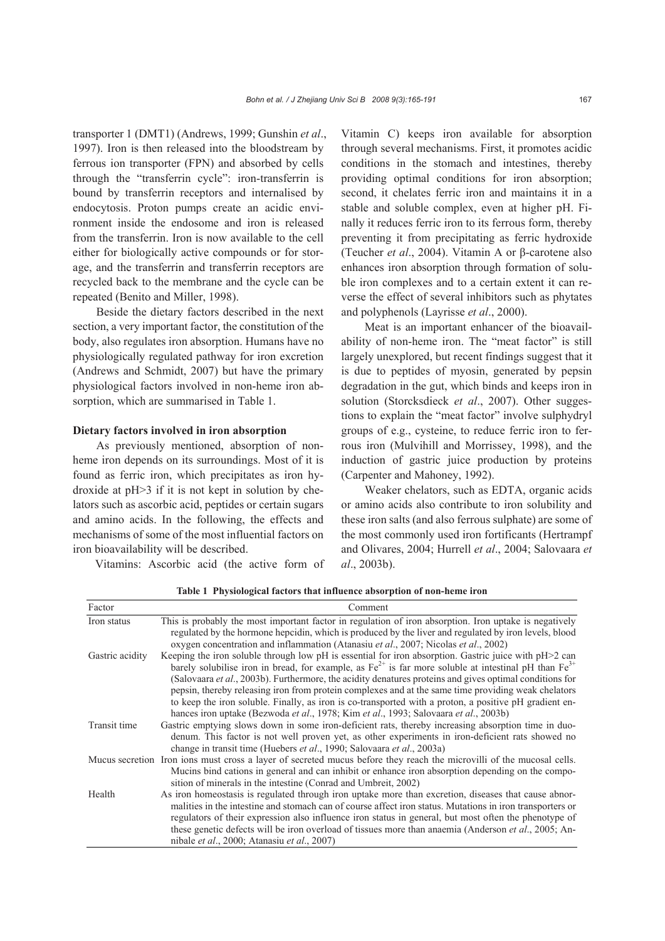transporter 1 (DMT1) (Andrews, 1999; Gunshin *et al*., 1997). Iron is then released into the bloodstream by ferrous ion transporter (FPN) and absorbed by cells through the "transferrin cycle": iron-transferrin is bound by transferrin receptors and internalised by endocytosis. Proton pumps create an acidic environment inside the endosome and iron is released from the transferrin. Iron is now available to the cell either for biologically active compounds or for storage, and the transferrin and transferrin receptors are recycled back to the membrane and the cycle can be repeated (Benito and Miller, 1998).

Beside the dietary factors described in the next section, a very important factor, the constitution of the body, also regulates iron absorption. Humans have no physiologically regulated pathway for iron excretion (Andrews and Schmidt, 2007) but have the primary physiological factors involved in non-heme iron absorption, which are summarised in Table 1.

#### **Dietary factors involved in iron absorption**

As previously mentioned, absorption of nonheme iron depends on its surroundings. Most of it is found as ferric iron, which precipitates as iron hydroxide at pH>3 if it is not kept in solution by chelators such as ascorbic acid, peptides or certain sugars and amino acids. In the following, the effects and mechanisms of some of the most influential factors on iron bioavailability will be described.

Vitamins: Ascorbic acid (the active form of

Vitamin C) keeps iron available for absorption through several mechanisms. First, it promotes acidic conditions in the stomach and intestines, thereby providing optimal conditions for iron absorption; second, it chelates ferric iron and maintains it in a stable and soluble complex, even at higher pH. Finally it reduces ferric iron to its ferrous form, thereby preventing it from precipitating as ferric hydroxide (Teucher *et al*., 2004). Vitamin A or β-carotene also enhances iron absorption through formation of soluble iron complexes and to a certain extent it can reverse the effect of several inhibitors such as phytates and polyphenols (Layrisse *et al*., 2000).

Meat is an important enhancer of the bioavailability of non-heme iron. The "meat factor" is still largely unexplored, but recent findings suggest that it is due to peptides of myosin, generated by pepsin degradation in the gut, which binds and keeps iron in solution (Storcksdieck *et al*., 2007). Other suggestions to explain the "meat factor" involve sulphydryl groups of e.g., cysteine, to reduce ferric iron to ferrous iron (Mulvihill and Morrissey, 1998), and the induction of gastric juice production by proteins (Carpenter and Mahoney, 1992).

Weaker chelators, such as EDTA, organic acids or amino acids also contribute to iron solubility and these iron salts (and also ferrous sulphate) are some of the most commonly used iron fortificants (Hertrampf and Olivares, 2004; Hurrell *et al*., 2004; Salovaara *et al*., 2003b).

| Factor          | Comment                                                                                                                                                                                                                                                                                                                                                                                                                                                                                                                                                                                                                                         |
|-----------------|-------------------------------------------------------------------------------------------------------------------------------------------------------------------------------------------------------------------------------------------------------------------------------------------------------------------------------------------------------------------------------------------------------------------------------------------------------------------------------------------------------------------------------------------------------------------------------------------------------------------------------------------------|
| Iron status     | This is probably the most important factor in regulation of iron absorption. Iron uptake is negatively<br>regulated by the hormone hepcidin, which is produced by the liver and regulated by iron levels, blood<br>oxygen concentration and inflammation (Atanasiu et al., 2007; Nicolas et al., 2002)                                                                                                                                                                                                                                                                                                                                          |
| Gastric acidity | Keeping the iron soluble through low pH is essential for iron absorption. Gastric juice with $pH > 2$ can<br>barely solubilise iron in bread, for example, as $Fe^{2+}$ is far more soluble at intestinal pH than $Fe^{3+}$<br>(Salovaara et al., 2003b). Furthermore, the acidity denatures proteins and gives optimal conditions for<br>pepsin, thereby releasing iron from protein complexes and at the same time providing weak chelators<br>to keep the iron soluble. Finally, as iron is co-transported with a proton, a positive pH gradient en-<br>hances iron uptake (Bezwoda et al., 1978; Kim et al., 1993; Salovaara et al., 2003b) |
| Transit time    | Gastric emptying slows down in some iron-deficient rats, thereby increasing absorption time in duo-<br>denum. This factor is not well proven yet, as other experiments in iron-deficient rats showed no<br>change in transit time (Huebers et al., 1990; Salovaara et al., 2003a)                                                                                                                                                                                                                                                                                                                                                               |
|                 | Mucus secretion Iron ions must cross a layer of secreted mucus before they reach the microvilli of the mucosal cells.<br>Mucins bind cations in general and can inhibit or enhance iron absorption depending on the compo-<br>sition of minerals in the intestine (Conrad and Umbreit, 2002)                                                                                                                                                                                                                                                                                                                                                    |
| Health          | As iron homeostasis is regulated through iron uptake more than excretion, diseases that cause abnor-<br>malities in the intestine and stomach can of course affect iron status. Mutations in iron transporters or<br>regulators of their expression also influence iron status in general, but most often the phenotype of<br>these genetic defects will be iron overload of tissues more than anaemia (Anderson <i>et al.</i> , 2005; An-<br>nibale et al., 2000; Atanasiu et al., 2007)                                                                                                                                                       |

**Table 1 Physiological factors that influence absorption of non-heme iron**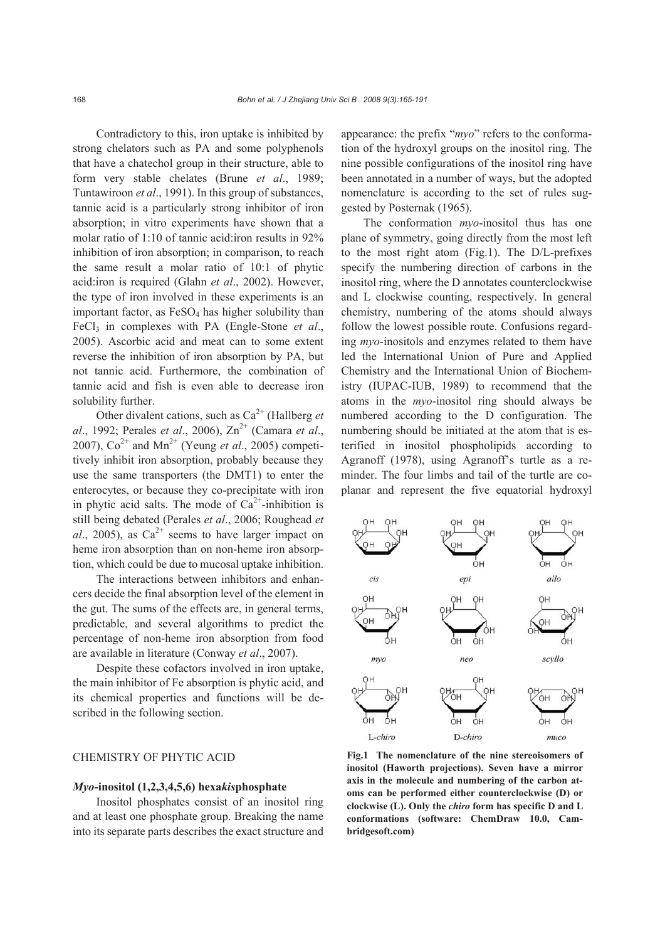Contradictory to this, iron uptake is inhibited by strong chelators such as PA and some polyphenols that have a chatechol group in their structure, able to form very stable chelates (Brune *et al*., 1989; Tuntawiroon *et al*., 1991). In this group of substances, tannic acid is a particularly strong inhibitor of iron absorption; in vitro experiments have shown that a molar ratio of 1:10 of tannic acid:iron results in 92% inhibition of iron absorption; in comparison, to reach the same result a molar ratio of 10:1 of phytic acid:iron is required (Glahn *et al*., 2002). However, the type of iron involved in these experiments is an important factor, as  $FeSO<sub>4</sub>$  has higher solubility than FeCl<sub>3</sub> in complexes with PA (Engle-Stone *et al.*, 2005). Ascorbic acid and meat can to some extent reverse the inhibition of iron absorption by PA, but not tannic acid. Furthermore, the combination of tannic acid and fish is even able to decrease iron solubility further.

Other divalent cations, such as  $Ca^{2+}$  (Hallberg *et al.*, 1992; Perales *et al.*, 2006),  $\text{Zn}^{2+}$  (Camara *et al.*, 2007),  $Co^{2+}$  and  $Mn^{2+}$  (Yeung *et al.*, 2005) competitively inhibit iron absorption, probably because they use the same transporters (the DMT1) to enter the enterocytes, or because they co-precipitate with iron in phytic acid salts. The mode of  $Ca^{2+}$ -inhibition is still being debated (Perales *et al*., 2006; Roughead *et al.*, 2005), as  $Ca^{2+}$  seems to have larger impact on heme iron absorption than on non-heme iron absorption, which could be due to mucosal uptake inhibition.

The interactions between inhibitors and enhancers decide the final absorption level of the element in the gut. The sums of the effects are, in general terms, predictable, and several algorithms to predict the percentage of non-heme iron absorption from food are available in literature (Conway *et al*., 2007).

Despite these cofactors involved in iron uptake, the main inhibitor of Fe absorption is phytic acid, and its chemical properties and functions will be described in the following section.

## CHEMISTRY OF PHYTIC ACID

#### *Myo***-inositol (1,2,3,4,5,6) hexa***kis***phosphate**

Inositol phosphates consist of an inositol ring and at least one phosphate group. Breaking the name into its separate parts describes the exact structure and appearance: the prefix "*myo*" refers to the conformation of the hydroxyl groups on the inositol ring. The nine possible configurations of the inositol ring have been annotated in a number of ways, but the adopted nomenclature is according to the set of rules suggested by Posternak (1965).

The conformation *myo*-inositol thus has one plane of symmetry, going directly from the most left to the most right atom (Fig.1). The D/L-prefixes specify the numbering direction of carbons in the inositol ring, where the D annotates counterclockwise and L clockwise counting, respectively. In general chemistry, numbering of the atoms should always follow the lowest possible route. Confusions regarding *myo*-inositols and enzymes related to them have led the International Union of Pure and Applied Chemistry and the International Union of Biochemistry (IUPAC-IUB, 1989) to recommend that the atoms in the *myo*-inositol ring should always be numbered according to the D configuration. The numbering should be initiated at the atom that is esterified in inositol phospholipids according to Agranoff (1978), using Agranoff's turtle as a reminder. The four limbs and tail of the turtle are coplanar and represent the five equatorial hydroxyl



**Fig.1 The nomenclature of the nine stereoisomers of inositol (Haworth projections). Seven have a mirror axis in the molecule and numbering of the carbon atoms can be performed either counterclockwise (D) or clockwise (L). Only the** *chiro* **form has specific D and L conformations (software: ChemDraw 10.0, Cambridgesoft.com)**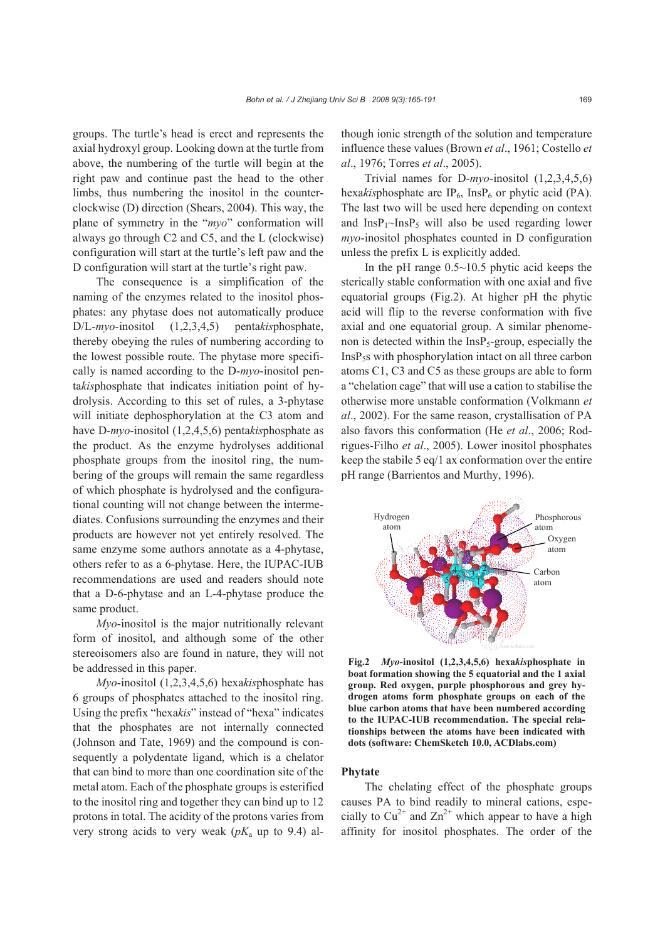groups. The turtle's head is erect and represents the axial hydroxyl group. Looking down at the turtle from above, the numbering of the turtle will begin at the right paw and continue past the head to the other limbs, thus numbering the inositol in the counterclockwise (D) direction (Shears, 2004). This way, the plane of symmetry in the "*myo*" conformation will always go through C2 and C5, and the L (clockwise) configuration will start at the turtle's left paw and the D configuration will start at the turtle's right paw.

The consequence is a simplification of the naming of the enzymes related to the inositol phosphates: any phytase does not automatically produce D/L-*myo*-inositol (1,2,3,4,5) penta*kis*phosphate, thereby obeying the rules of numbering according to the lowest possible route. The phytase more specifically is named according to the D-*myo*-inositol penta*kis*phosphate that indicates initiation point of hydrolysis. According to this set of rules, a 3-phytase will initiate dephosphorylation at the C3 atom and have D-*myo*-inositol (1,2,4,5,6) penta*kis*phosphate as the product. As the enzyme hydrolyses additional phosphate groups from the inositol ring, the numbering of the groups will remain the same regardless of which phosphate is hydrolysed and the configurational counting will not change between the intermediates. Confusions surrounding the enzymes and their products are however not yet entirely resolved. The same enzyme some authors annotate as a 4-phytase, others refer to as a 6-phytase. Here, the IUPAC-IUB recommendations are used and readers should note that a D-6-phytase and an L-4-phytase produce the same product.

*Myo*-inositol is the major nutritionally relevant form of inositol, and although some of the other stereoisomers also are found in nature, they will not be addressed in this paper.

*Myo*-inositol (1,2,3,4,5,6) hexa*kis*phosphate has 6 groups of phosphates attached to the inositol ring. Using the prefix "hexa*kis*" instead of "hexa" indicates that the phosphates are not internally connected (Johnson and Tate, 1969) and the compound is consequently a polydentate ligand, which is a chelator that can bind to more than one coordination site of the metal atom. Each of the phosphate groups is esterified to the inositol ring and together they can bind up to 12 protons in total. The acidity of the protons varies from very strong acids to very weak  $(pK_a \text{ up to } 9.4)$  although ionic strength of the solution and temperature influence these values (Brown *et al*., 1961; Costello *et al*., 1976; Torres *et al*., 2005).

Trivial names for D-*myo*-inositol (1,2,3,4,5,6) hexa*kis*phosphate are  $IP_6$ , Ins $P_6$  or phytic acid (PA). The last two will be used here depending on context and  $InsP_1~\sim$ InsP<sub>5</sub> will also be used regarding lower *myo*-inositol phosphates counted in D configuration unless the prefix L is explicitly added.

In the pH range 0.5~10.5 phytic acid keeps the sterically stable conformation with one axial and five equatorial groups (Fig.2). At higher pH the phytic acid will flip to the reverse conformation with five axial and one equatorial group. A similar phenomenon is detected within the  $InsP_5$ -group, especially the  $InsP<sub>5</sub>s$  with phosphorylation intact on all three carbon atoms C1, C3 and C5 as these groups are able to form a "chelation cage" that will use a cation to stabilise the otherwise more unstable conformation (Volkmann *et al*., 2002). For the same reason, crystallisation of PA also favors this conformation (He *et al*., 2006; Rodrigues-Filho *et al*., 2005). Lower inositol phosphates keep the stabile 5 eq/1 ax conformation over the entire pH range (Barrientos and Murthy, 1996).



**Fig.2** *Myo***-inositol (1,2,3,4,5,6) hexa***kis***phosphate in boat formation showing the 5 equatorial and the 1 axial group. Red oxygen, purple phosphorous and grey hydrogen atoms form phosphate groups on each of the blue carbon atoms that have been numbered according to the IUPAC-IUB recommendation. The special relationships between the atoms have been indicated with dots (software: ChemSketch 10.0, ACDlabs.com)** 

## **Phytate**

The chelating effect of the phosphate groups causes PA to bind readily to mineral cations, especially to  $Cu^{2+}$  and  $Zn^{2+}$  which appear to have a high affinity for inositol phosphates. The order of the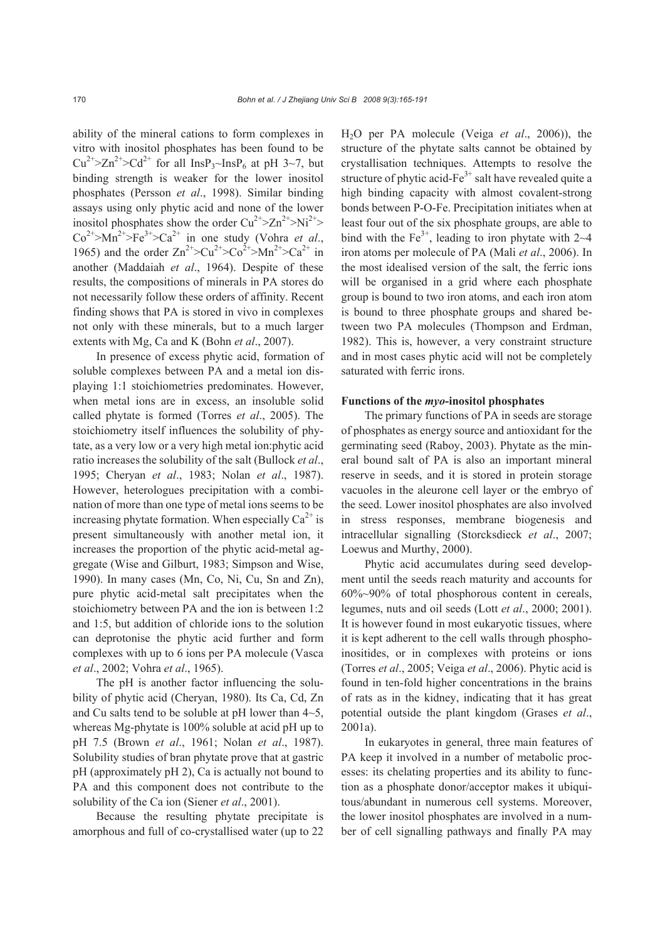ability of the mineral cations to form complexes in vitro with inositol phosphates has been found to be  $Cu^{2+} > Zn^{2+} > Cd^{2+}$  for all InsP<sub>3</sub>~InsP<sub>6</sub> at pH 3~7, but binding strength is weaker for the lower inositol phosphates (Persson *et al*., 1998). Similar binding assays using only phytic acid and none of the lower inositol phosphates show the order  $Cu^{2+}>>n^{2+}>Ni^{2+}$  $Co^{2+} > Mn^{2+} > Fe^{3+} > Ca^{2+}$  in one study (Vohra *et al.*, 1965) and the order  $\text{Zn}^{2+} > \text{Cu}^{2+} > \text{Co}^{2+} > \text{Mn}^{2+} > \text{Ca}^{2+}$  in another (Maddaiah *et al*., 1964). Despite of these results, the compositions of minerals in PA stores do not necessarily follow these orders of affinity. Recent finding shows that PA is stored in vivo in complexes not only with these minerals, but to a much larger extents with Mg, Ca and K (Bohn *et al*., 2007).

In presence of excess phytic acid, formation of soluble complexes between PA and a metal ion displaying 1:1 stoichiometries predominates. However, when metal ions are in excess, an insoluble solid called phytate is formed (Torres *et al*., 2005). The stoichiometry itself influences the solubility of phytate, as a very low or a very high metal ion:phytic acid ratio increases the solubility of the salt (Bullock *et al*., 1995; Cheryan *et al*., 1983; Nolan *et al*., 1987). However, heterologues precipitation with a combination of more than one type of metal ions seems to be increasing phytate formation. When especially  $Ca^{2+}$  is present simultaneously with another metal ion, it increases the proportion of the phytic acid-metal aggregate (Wise and Gilburt, 1983; Simpson and Wise, 1990). In many cases (Mn, Co, Ni, Cu, Sn and Zn), pure phytic acid-metal salt precipitates when the stoichiometry between PA and the ion is between 1:2 and 1:5, but addition of chloride ions to the solution can deprotonise the phytic acid further and form complexes with up to 6 ions per PA molecule (Vasca *et al*., 2002; Vohra *et al*., 1965).

The pH is another factor influencing the solubility of phytic acid (Cheryan, 1980). Its Ca, Cd, Zn and Cu salts tend to be soluble at pH lower than  $4\neg 5$ , whereas Mg-phytate is 100% soluble at acid pH up to pH 7.5 (Brown *et al*., 1961; Nolan *et al*., 1987). Solubility studies of bran phytate prove that at gastric pH (approximately pH 2), Ca is actually not bound to PA and this component does not contribute to the solubility of the Ca ion (Siener *et al*., 2001).

Because the resulting phytate precipitate is amorphous and full of co-crystallised water (up to 22

H2O per PA molecule (Veiga *et al*., 2006)), the structure of the phytate salts cannot be obtained by crystallisation techniques. Attempts to resolve the structure of phytic acid- $Fe<sup>3+</sup>$  salt have revealed quite a high binding capacity with almost covalent-strong bonds between P-O-Fe. Precipitation initiates when at least four out of the six phosphate groups, are able to bind with the Fe<sup>3+</sup>, leading to iron phytate with  $2~-4$ iron atoms per molecule of PA (Mali *et al*., 2006). In the most idealised version of the salt, the ferric ions will be organised in a grid where each phosphate group is bound to two iron atoms, and each iron atom is bound to three phosphate groups and shared between two PA molecules (Thompson and Erdman, 1982). This is, however, a very constraint structure and in most cases phytic acid will not be completely saturated with ferric irons.

#### **Functions of the** *myo***-inositol phosphates**

The primary functions of PA in seeds are storage of phosphates as energy source and antioxidant for the germinating seed (Raboy, 2003). Phytate as the mineral bound salt of PA is also an important mineral reserve in seeds, and it is stored in protein storage vacuoles in the aleurone cell layer or the embryo of the seed. Lower inositol phosphates are also involved in stress responses, membrane biogenesis and intracellular signalling (Storcksdieck *et al*., 2007; Loewus and Murthy, 2000).

Phytic acid accumulates during seed development until the seeds reach maturity and accounts for 60%~90% of total phosphorous content in cereals, legumes, nuts and oil seeds (Lott *et al*., 2000; 2001). It is however found in most eukaryotic tissues, where it is kept adherent to the cell walls through phosphoinositides, or in complexes with proteins or ions (Torres *et al*., 2005; Veiga *et al*., 2006). Phytic acid is found in ten-fold higher concentrations in the brains of rats as in the kidney, indicating that it has great potential outside the plant kingdom (Grases *et al*., 2001a).

In eukaryotes in general, three main features of PA keep it involved in a number of metabolic processes: its chelating properties and its ability to function as a phosphate donor/acceptor makes it ubiquitous/abundant in numerous cell systems. Moreover, the lower inositol phosphates are involved in a number of cell signalling pathways and finally PA may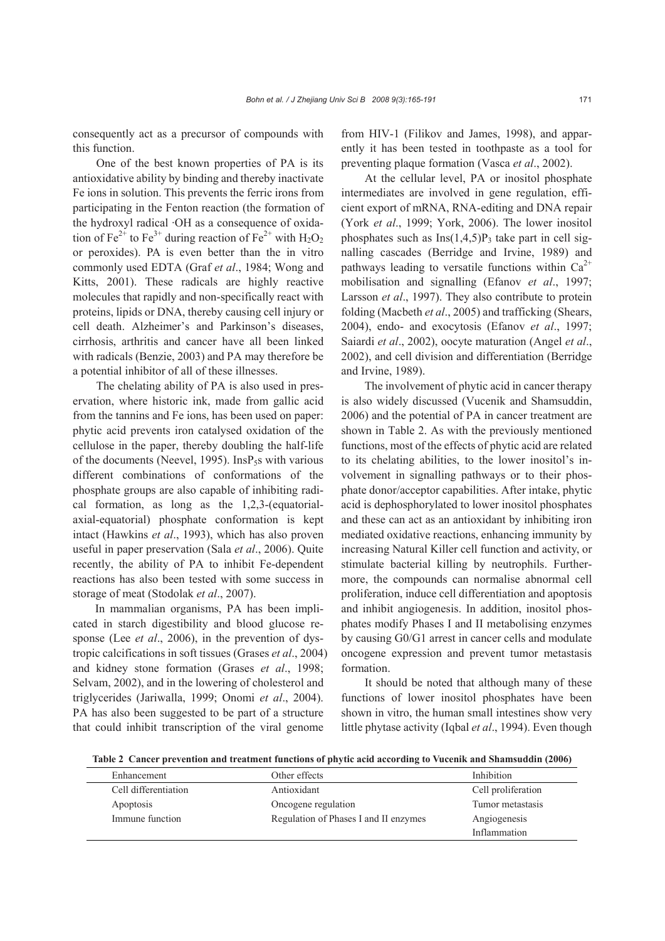consequently act as a precursor of compounds with this function.

One of the best known properties of PA is its antioxidative ability by binding and thereby inactivate Fe ions in solution. This prevents the ferric irons from participating in the Fenton reaction (the formation of the hydroxyl radical ·OH as a consequence of oxidation of Fe<sup>2+</sup> to Fe<sup>3+</sup> during reaction of Fe<sup>2+</sup> with H<sub>2</sub>O<sub>2</sub> or peroxides). PA is even better than the in vitro commonly used EDTA (Graf *et al*., 1984; Wong and Kitts, 2001). These radicals are highly reactive molecules that rapidly and non-specifically react with proteins, lipids or DNA, thereby causing cell injury or cell death. Alzheimer's and Parkinson's diseases, cirrhosis, arthritis and cancer have all been linked with radicals (Benzie, 2003) and PA may therefore be a potential inhibitor of all of these illnesses.

The chelating ability of PA is also used in preservation, where historic ink, made from gallic acid from the tannins and Fe ions, has been used on paper: phytic acid prevents iron catalysed oxidation of the cellulose in the paper, thereby doubling the half-life of the documents (Neevel, 1995). Ins $P_5$ s with various different combinations of conformations of the phosphate groups are also capable of inhibiting radical formation, as long as the 1,2,3-(equatorialaxial-equatorial) phosphate conformation is kept intact (Hawkins *et al*., 1993), which has also proven useful in paper preservation (Sala *et al*., 2006). Quite recently, the ability of PA to inhibit Fe-dependent reactions has also been tested with some success in storage of meat (Stodolak *et al*., 2007).

In mammalian organisms, PA has been implicated in starch digestibility and blood glucose response (Lee *et al*., 2006), in the prevention of dystropic calcifications in soft tissues (Grases *et al*., 2004) and kidney stone formation (Grases *et al*., 1998; Selvam, 2002), and in the lowering of cholesterol and triglycerides (Jariwalla, 1999; Onomi *et al*., 2004). PA has also been suggested to be part of a structure that could inhibit transcription of the viral genome

from HIV-1 (Filikov and James, 1998), and apparently it has been tested in toothpaste as a tool for preventing plaque formation (Vasca *et al*., 2002).

At the cellular level, PA or inositol phosphate intermediates are involved in gene regulation, efficient export of mRNA, RNA-editing and DNA repair (York *et al*., 1999; York, 2006). The lower inositol phosphates such as  $Ins(1,4,5)P_3$  take part in cell signalling cascades (Berridge and Irvine, 1989) and pathways leading to versatile functions within  $Ca^{2+}$ mobilisation and signalling (Efanov *et al*., 1997; Larsson *et al*., 1997). They also contribute to protein folding (Macbeth *et al*., 2005) and trafficking (Shears, 2004), endo- and exocytosis (Efanov *et al*., 1997; Saiardi *et al*., 2002), oocyte maturation (Angel *et al*., 2002), and cell division and differentiation (Berridge and Irvine, 1989).

The involvement of phytic acid in cancer therapy is also widely discussed (Vucenik and Shamsuddin, 2006) and the potential of PA in cancer treatment are shown in Table 2. As with the previously mentioned functions, most of the effects of phytic acid are related to its chelating abilities, to the lower inositol's involvement in signalling pathways or to their phosphate donor/acceptor capabilities. After intake, phytic acid is dephosphorylated to lower inositol phosphates and these can act as an antioxidant by inhibiting iron mediated oxidative reactions, enhancing immunity by increasing Natural Killer cell function and activity, or stimulate bacterial killing by neutrophils. Furthermore, the compounds can normalise abnormal cell proliferation, induce cell differentiation and apoptosis and inhibit angiogenesis. In addition, inositol phosphates modify Phases I and II metabolising enzymes by causing G0/G1 arrest in cancer cells and modulate oncogene expression and prevent tumor metastasis formation.

It should be noted that although many of these functions of lower inositol phosphates have been shown in vitro, the human small intestines show very little phytase activity (Iqbal *et al*., 1994). Even though

**Table 2 Cancer prevention and treatment functions of phytic acid according to Vucenik and Shamsuddin (2006)**

| Enhancement          | Other effects                         | Inhibition         |
|----------------------|---------------------------------------|--------------------|
| Cell differentiation | Antioxidant                           | Cell proliferation |
| Apoptosis            | Oncogene regulation                   | Tumor metastasis   |
| Immune function      | Regulation of Phases I and II enzymes | Angiogenesis       |
|                      |                                       | Inflammation       |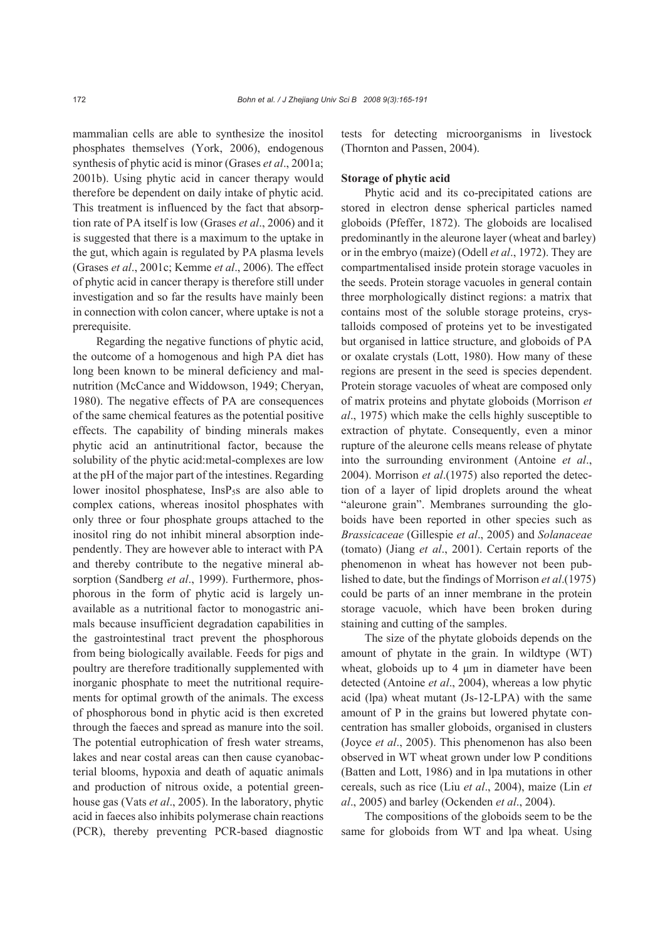mammalian cells are able to synthesize the inositol phosphates themselves (York, 2006), endogenous synthesis of phytic acid is minor (Grases *et al*., 2001a; 2001b). Using phytic acid in cancer therapy would therefore be dependent on daily intake of phytic acid. This treatment is influenced by the fact that absorption rate of PA itself is low (Grases *et al*., 2006) and it is suggested that there is a maximum to the uptake in the gut, which again is regulated by PA plasma levels (Grases *et al*., 2001c; Kemme *et al*., 2006). The effect of phytic acid in cancer therapy is therefore still under investigation and so far the results have mainly been in connection with colon cancer, where uptake is not a prerequisite.

Regarding the negative functions of phytic acid, the outcome of a homogenous and high PA diet has long been known to be mineral deficiency and malnutrition (McCance and Widdowson, 1949; Cheryan, 1980). The negative effects of PA are consequences of the same chemical features as the potential positive effects. The capability of binding minerals makes phytic acid an antinutritional factor, because the solubility of the phytic acid:metal-complexes are low at the pH of the major part of the intestines. Regarding lower inositol phosphatese,  $InsP<sub>5</sub>s$  are also able to complex cations, whereas inositol phosphates with only three or four phosphate groups attached to the inositol ring do not inhibit mineral absorption independently. They are however able to interact with PA and thereby contribute to the negative mineral absorption (Sandberg *et al*., 1999). Furthermore, phosphorous in the form of phytic acid is largely unavailable as a nutritional factor to monogastric animals because insufficient degradation capabilities in the gastrointestinal tract prevent the phosphorous from being biologically available. Feeds for pigs and poultry are therefore traditionally supplemented with inorganic phosphate to meet the nutritional requirements for optimal growth of the animals. The excess of phosphorous bond in phytic acid is then excreted through the faeces and spread as manure into the soil. The potential eutrophication of fresh water streams, lakes and near costal areas can then cause cyanobacterial blooms, hypoxia and death of aquatic animals and production of nitrous oxide, a potential greenhouse gas (Vats *et al*., 2005). In the laboratory, phytic acid in faeces also inhibits polymerase chain reactions (PCR), thereby preventing PCR-based diagnostic tests for detecting microorganisms in livestock (Thornton and Passen, 2004).

#### **Storage of phytic acid**

Phytic acid and its co-precipitated cations are stored in electron dense spherical particles named globoids (Pfeffer, 1872). The globoids are localised predominantly in the aleurone layer (wheat and barley) or in the embryo (maize) (Odell *et al*., 1972). They are compartmentalised inside protein storage vacuoles in the seeds. Protein storage vacuoles in general contain three morphologically distinct regions: a matrix that contains most of the soluble storage proteins, crystalloids composed of proteins yet to be investigated but organised in lattice structure, and globoids of PA or oxalate crystals (Lott, 1980). How many of these regions are present in the seed is species dependent. Protein storage vacuoles of wheat are composed only of matrix proteins and phytate globoids (Morrison *et al*., 1975) which make the cells highly susceptible to extraction of phytate. Consequently, even a minor rupture of the aleurone cells means release of phytate into the surrounding environment (Antoine *et al*., 2004). Morrison *et al*.(1975) also reported the detection of a layer of lipid droplets around the wheat "aleurone grain". Membranes surrounding the globoids have been reported in other species such as *Brassicaceae* (Gillespie *et al*., 2005) and *Solanaceae* (tomato) (Jiang *et al*., 2001). Certain reports of the phenomenon in wheat has however not been published to date, but the findings of Morrison *et al*.(1975) could be parts of an inner membrane in the protein storage vacuole, which have been broken during staining and cutting of the samples.

The size of the phytate globoids depends on the amount of phytate in the grain. In wildtype (WT) wheat, globoids up to 4 μm in diameter have been detected (Antoine *et al*., 2004), whereas a low phytic acid (lpa) wheat mutant (Js-12-LPA) with the same amount of P in the grains but lowered phytate concentration has smaller globoids, organised in clusters (Joyce *et al*., 2005). This phenomenon has also been observed in WT wheat grown under low P conditions (Batten and Lott, 1986) and in lpa mutations in other cereals, such as rice (Liu *et al*., 2004), maize (Lin *et al*., 2005) and barley (Ockenden *et al*., 2004).

The compositions of the globoids seem to be the same for globoids from WT and lpa wheat. Using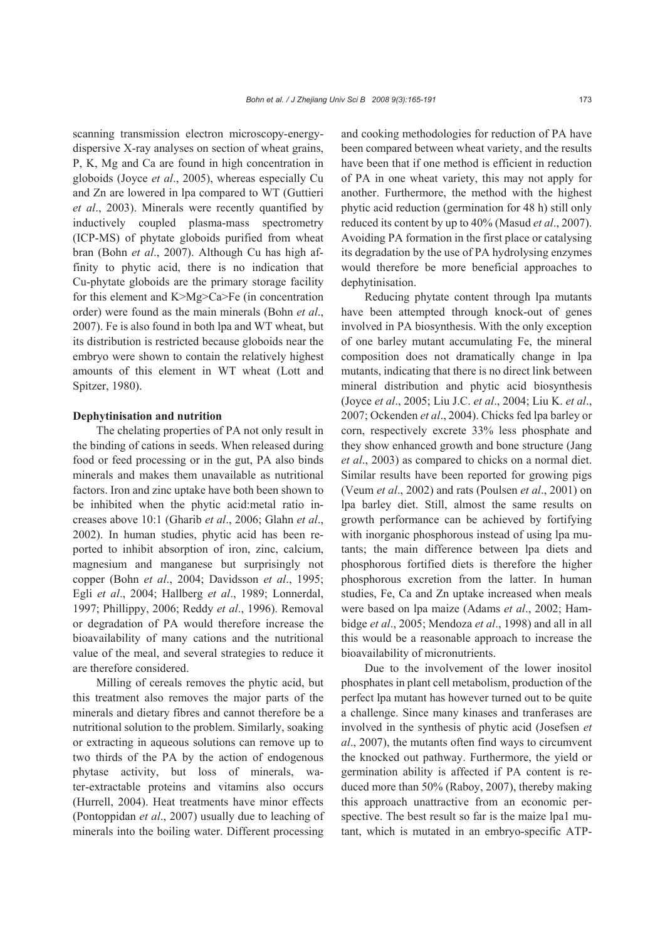scanning transmission electron microscopy-energydispersive X-ray analyses on section of wheat grains, P, K, Mg and Ca are found in high concentration in globoids (Joyce *et al*., 2005), whereas especially Cu and Zn are lowered in lpa compared to WT (Guttieri *et al*., 2003). Minerals were recently quantified by inductively coupled plasma-mass spectrometry (ICP-MS) of phytate globoids purified from wheat bran (Bohn *et al*., 2007). Although Cu has high affinity to phytic acid, there is no indication that Cu-phytate globoids are the primary storage facility for this element and K>Mg>Ca>Fe (in concentration order) were found as the main minerals (Bohn *et al*., 2007). Fe is also found in both lpa and WT wheat, but its distribution is restricted because globoids near the embryo were shown to contain the relatively highest amounts of this element in WT wheat (Lott and Spitzer, 1980).

#### **Dephytinisation and nutrition**

The chelating properties of PA not only result in the binding of cations in seeds. When released during food or feed processing or in the gut, PA also binds minerals and makes them unavailable as nutritional factors. Iron and zinc uptake have both been shown to be inhibited when the phytic acid:metal ratio increases above 10:1 (Gharib *et al*., 2006; Glahn *et al*., 2002). In human studies, phytic acid has been reported to inhibit absorption of iron, zinc, calcium, magnesium and manganese but surprisingly not copper (Bohn *et al*., 2004; Davidsson *et al*., 1995; Egli *et al*., 2004; Hallberg *et al*., 1989; Lonnerdal, 1997; Phillippy, 2006; Reddy *et al*., 1996). Removal or degradation of PA would therefore increase the bioavailability of many cations and the nutritional value of the meal, and several strategies to reduce it are therefore considered.

Milling of cereals removes the phytic acid, but this treatment also removes the major parts of the minerals and dietary fibres and cannot therefore be a nutritional solution to the problem. Similarly, soaking or extracting in aqueous solutions can remove up to two thirds of the PA by the action of endogenous phytase activity, but loss of minerals, water-extractable proteins and vitamins also occurs (Hurrell, 2004). Heat treatments have minor effects (Pontoppidan *et al*., 2007) usually due to leaching of minerals into the boiling water. Different processing and cooking methodologies for reduction of PA have been compared between wheat variety, and the results have been that if one method is efficient in reduction of PA in one wheat variety, this may not apply for another. Furthermore, the method with the highest phytic acid reduction (germination for 48 h) still only reduced its content by up to 40% (Masud *et al*., 2007). Avoiding PA formation in the first place or catalysing its degradation by the use of PA hydrolysing enzymes would therefore be more beneficial approaches to dephytinisation.

Reducing phytate content through lpa mutants have been attempted through knock-out of genes involved in PA biosynthesis. With the only exception of one barley mutant accumulating Fe, the mineral composition does not dramatically change in lpa mutants, indicating that there is no direct link between mineral distribution and phytic acid biosynthesis (Joyce *et al*., 2005; Liu J.C. *et al*., 2004; Liu K. *et al*., 2007; Ockenden *et al*., 2004). Chicks fed lpa barley or corn, respectively excrete 33% less phosphate and they show enhanced growth and bone structure (Jang *et al*., 2003) as compared to chicks on a normal diet. Similar results have been reported for growing pigs (Veum *et al*., 2002) and rats (Poulsen *et al*., 2001) on lpa barley diet. Still, almost the same results on growth performance can be achieved by fortifying with inorganic phosphorous instead of using lpa mutants; the main difference between lpa diets and phosphorous fortified diets is therefore the higher phosphorous excretion from the latter. In human studies, Fe, Ca and Zn uptake increased when meals were based on lpa maize (Adams *et al*., 2002; Hambidge *et al*., 2005; Mendoza *et al*., 1998) and all in all this would be a reasonable approach to increase the bioavailability of micronutrients.

Due to the involvement of the lower inositol phosphates in plant cell metabolism, production of the perfect lpa mutant has however turned out to be quite a challenge. Since many kinases and tranferases are involved in the synthesis of phytic acid (Josefsen *et al*., 2007), the mutants often find ways to circumvent the knocked out pathway. Furthermore, the yield or germination ability is affected if PA content is reduced more than 50% (Raboy, 2007), thereby making this approach unattractive from an economic perspective. The best result so far is the maize lpa1 mutant, which is mutated in an embryo-specific ATP-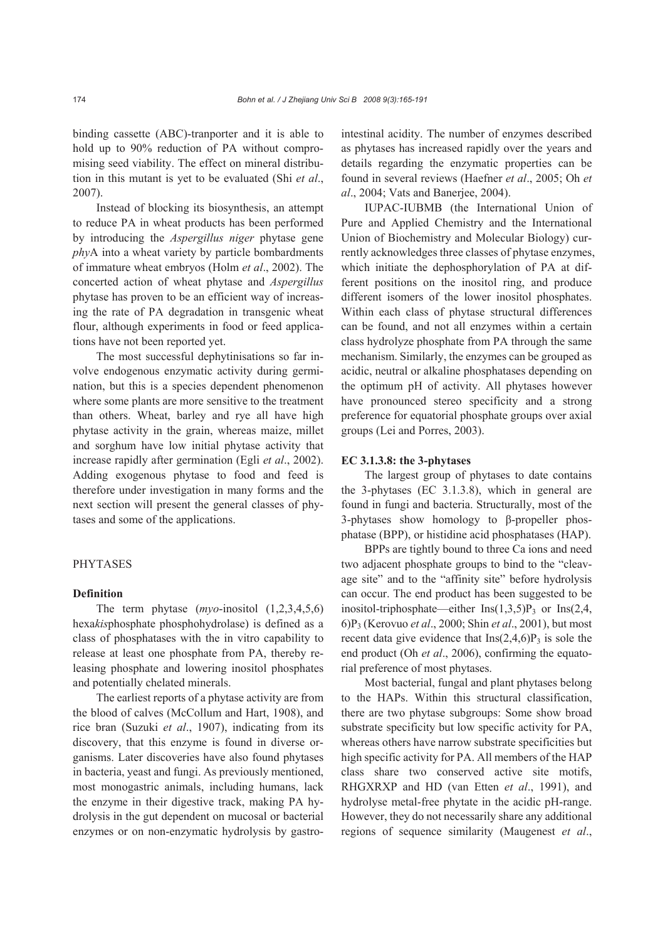binding cassette (ABC)-tranporter and it is able to hold up to 90% reduction of PA without compromising seed viability. The effect on mineral distribution in this mutant is yet to be evaluated (Shi *et al*., 2007).

Instead of blocking its biosynthesis, an attempt to reduce PA in wheat products has been performed by introducing the *Aspergillus niger* phytase gene *phy*A into a wheat variety by particle bombardments of immature wheat embryos (Holm *et al*., 2002). The concerted action of wheat phytase and *Aspergillus*  phytase has proven to be an efficient way of increasing the rate of PA degradation in transgenic wheat flour, although experiments in food or feed applications have not been reported yet.

The most successful dephytinisations so far involve endogenous enzymatic activity during germination, but this is a species dependent phenomenon where some plants are more sensitive to the treatment than others. Wheat, barley and rye all have high phytase activity in the grain, whereas maize, millet and sorghum have low initial phytase activity that increase rapidly after germination (Egli *et al*., 2002). Adding exogenous phytase to food and feed is therefore under investigation in many forms and the next section will present the general classes of phytases and some of the applications.

## PHYTASES

## **Definition**

The term phytase (*myo*-inositol (1,2,3,4,5,6) hexa*kis*phosphate phosphohydrolase) is defined as a class of phosphatases with the in vitro capability to release at least one phosphate from PA, thereby releasing phosphate and lowering inositol phosphates and potentially chelated minerals.

The earliest reports of a phytase activity are from the blood of calves (McCollum and Hart, 1908), and rice bran (Suzuki *et al*., 1907), indicating from its discovery, that this enzyme is found in diverse organisms. Later discoveries have also found phytases in bacteria, yeast and fungi. As previously mentioned, most monogastric animals, including humans, lack the enzyme in their digestive track, making PA hydrolysis in the gut dependent on mucosal or bacterial enzymes or on non-enzymatic hydrolysis by gastrointestinal acidity. The number of enzymes described as phytases has increased rapidly over the years and details regarding the enzymatic properties can be found in several reviews (Haefner *et al*., 2005; Oh *et al*., 2004; Vats and Banerjee, 2004).

IUPAC-IUBMB (the International Union of Pure and Applied Chemistry and the International Union of Biochemistry and Molecular Biology) currently acknowledges three classes of phytase enzymes, which initiate the dephosphorylation of PA at different positions on the inositol ring, and produce different isomers of the lower inositol phosphates. Within each class of phytase structural differences can be found, and not all enzymes within a certain class hydrolyze phosphate from PA through the same mechanism. Similarly, the enzymes can be grouped as acidic, neutral or alkaline phosphatases depending on the optimum pH of activity. All phytases however have pronounced stereo specificity and a strong preference for equatorial phosphate groups over axial groups (Lei and Porres, 2003).

#### **EC 3.1.3.8: the 3-phytases**

The largest group of phytases to date contains the 3-phytases (EC 3.1.3.8), which in general are found in fungi and bacteria. Structurally, most of the 3-phytases show homology to β-propeller phosphatase (BPP), or histidine acid phosphatases (HAP).

BPPs are tightly bound to three Ca ions and need two adjacent phosphate groups to bind to the "cleavage site" and to the "affinity site" before hydrolysis can occur. The end product has been suggested to be inositol-triphosphate—either  $Ins(1,3,5)P_3$  or  $Ins(2,4,$ 6)P3 (Kerovuo *et al*., 2000; Shin *et al*., 2001), but most recent data give evidence that  $Ins(2,4,6)P_3$  is sole the end product (Oh *et al*., 2006), confirming the equatorial preference of most phytases.

Most bacterial, fungal and plant phytases belong to the HAPs. Within this structural classification, there are two phytase subgroups: Some show broad substrate specificity but low specific activity for PA, whereas others have narrow substrate specificities but high specific activity for PA. All members of the HAP class share two conserved active site motifs, RHGXRXP and HD (van Etten *et al*., 1991), and hydrolyse metal-free phytate in the acidic pH-range. However, they do not necessarily share any additional regions of sequence similarity (Maugenest *et al*.,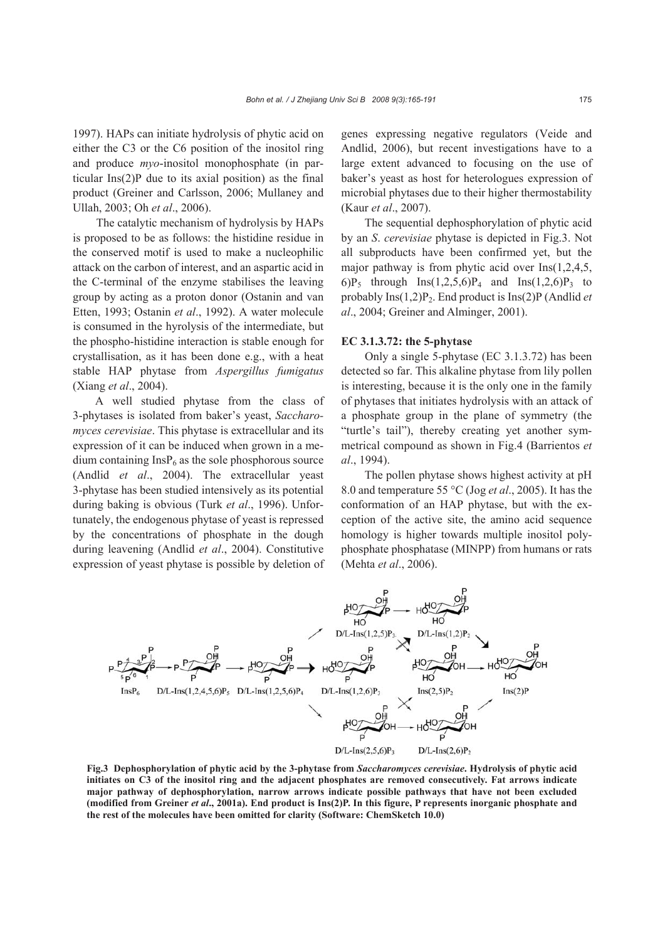1997). HAPs can initiate hydrolysis of phytic acid on either the C3 or the C6 position of the inositol ring and produce *myo*-inositol monophosphate (in particular Ins(2)P due to its axial position) as the final product (Greiner and Carlsson, 2006; Mullaney and Ullah, 2003; Oh *et al*., 2006).

The catalytic mechanism of hydrolysis by HAPs is proposed to be as follows: the histidine residue in the conserved motif is used to make a nucleophilic attack on the carbon of interest, and an aspartic acid in the C-terminal of the enzyme stabilises the leaving group by acting as a proton donor (Ostanin and van Etten, 1993; Ostanin *et al*., 1992). A water molecule is consumed in the hyrolysis of the intermediate, but the phospho-histidine interaction is stable enough for crystallisation, as it has been done e.g., with a heat stable HAP phytase from *Aspergillus fumigatus*  (Xiang *et al*., 2004).

A well studied phytase from the class of 3-phytases is isolated from baker's yeast, *Saccharomyces cerevisiae*. This phytase is extracellular and its expression of it can be induced when grown in a me- $\dim$  containing  $\text{InsP}_6$  as the sole phosphorous source (Andlid *et al*., 2004). The extracellular yeast 3-phytase has been studied intensively as its potential during baking is obvious (Turk *et al*., 1996). Unfortunately, the endogenous phytase of yeast is repressed by the concentrations of phosphate in the dough during leavening (Andlid *et al*., 2004). Constitutive expression of yeast phytase is possible by deletion of genes expressing negative regulators (Veide and Andlid, 2006), but recent investigations have to a large extent advanced to focusing on the use of baker's yeast as host for heterologues expression of microbial phytases due to their higher thermostability (Kaur *et al*., 2007).

The sequential dephosphorylation of phytic acid by an *S*. *cerevisiae* phytase is depicted in Fig.3. Not all subproducts have been confirmed yet, but the major pathway is from phytic acid over  $Ins(1,2,4,5,$ 6) $P_5$  through  $Ins(1,2,5,6)P_4$  and  $Ins(1,2,6)P_3$  to probably Ins(1,2)P2. End product is Ins(2)P (Andlid *et al*., 2004; Greiner and Alminger, 2001).

### **EC 3.1.3.72: the 5-phytase**

Only a single 5-phytase (EC 3.1.3.72) has been detected so far. This alkaline phytase from lily pollen is interesting, because it is the only one in the family of phytases that initiates hydrolysis with an attack of a phosphate group in the plane of symmetry (the "turtle's tail"), thereby creating yet another symmetrical compound as shown in Fig.4 (Barrientos *et al*., 1994).

The pollen phytase shows highest activity at pH 8.0 and temperature 55 °C (Jog *et al*., 2005). It has the conformation of an HAP phytase, but with the exception of the active site, the amino acid sequence homology is higher towards multiple inositol polyphosphate phosphatase (MINPP) from humans or rats (Mehta *et al*., 2006).



**Fig.3 Dephosphorylation of phytic acid by the 3-phytase from** *Saccharomyces cerevisiae***. Hydrolysis of phytic acid initiates on C3 of the inositol ring and the adjacent phosphates are removed consecutively. Fat arrows indicate major pathway of dephosphorylation, narrow arrows indicate possible pathways that have not been excluded (modified from Greiner** *et al***., 2001a). End product is Ins(2)P. In this figure, P represents inorganic phosphate and the rest of the molecules have been omitted for clarity (Software: ChemSketch 10.0)**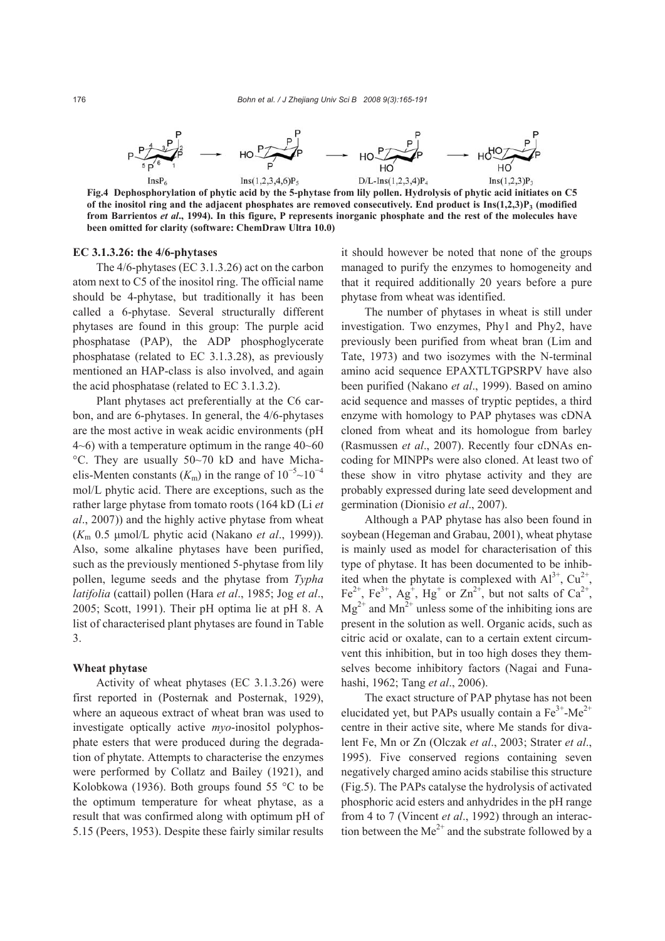

**EC 3.1.3.26: the 4/6-phytases** 

The 4/6-phytases (EC 3.1.3.26) act on the carbon atom next to C5 of the inositol ring. The official name should be 4-phytase, but traditionally it has been called a 6-phytase. Several structurally different phytases are found in this group: The purple acid phosphatase (PAP), the ADP phosphoglycerate phosphatase (related to EC 3.1.3.28), as previously mentioned an HAP-class is also involved, and again the acid phosphatase (related to EC 3.1.3.2).

**been omitted for clarity (software: ChemDraw Ultra 10.0)** 

Plant phytases act preferentially at the C6 carbon, and are 6-phytases. In general, the 4/6-phytases are the most active in weak acidic environments (pH 4~6) with a temperature optimum in the range 40~60 °C. They are usually 50~70 kD and have Michaelis-Menten constants ( $K_{\text{m}}$ ) in the range of 10<sup>-5</sup>~10<sup>-4</sup> mol/L phytic acid. There are exceptions, such as the rather large phytase from tomato roots (164 kD (Li *et al*., 2007)) and the highly active phytase from wheat (*K*m 0.5 μmol/L phytic acid (Nakano *et al*., 1999)). Also, some alkaline phytases have been purified, such as the previously mentioned 5-phytase from lily pollen, legume seeds and the phytase from *Typha latifolia* (cattail) pollen (Hara *et al*., 1985; Jog *et al*., 2005; Scott, 1991). Their pH optima lie at pH 8. A list of characterised plant phytases are found in Table 3.

# **Wheat phytase**

Activity of wheat phytases (EC 3.1.3.26) were first reported in (Posternak and Posternak, 1929), where an aqueous extract of wheat bran was used to investigate optically active *myo*-inositol polyphosphate esters that were produced during the degradation of phytate. Attempts to characterise the enzymes were performed by Collatz and Bailey (1921), and Kolobkowa (1936). Both groups found 55 °C to be the optimum temperature for wheat phytase, as a result that was confirmed along with optimum pH of 5.15 (Peers, 1953). Despite these fairly similar results

it should however be noted that none of the groups managed to purify the enzymes to homogeneity and that it required additionally 20 years before a pure phytase from wheat was identified.

The number of phytases in wheat is still under investigation. Two enzymes, Phy1 and Phy2, have previously been purified from wheat bran (Lim and Tate, 1973) and two isozymes with the N-terminal amino acid sequence EPAXTLTGPSRPV have also been purified (Nakano *et al*., 1999). Based on amino acid sequence and masses of tryptic peptides, a third enzyme with homology to PAP phytases was cDNA cloned from wheat and its homologue from barley (Rasmussen *et al*., 2007). Recently four cDNAs encoding for MINPPs were also cloned. At least two of these show in vitro phytase activity and they are probably expressed during late seed development and germination (Dionisio *et al*., 2007).

Although a PAP phytase has also been found in soybean (Hegeman and Grabau, 2001), wheat phytase is mainly used as model for characterisation of this type of phytase. It has been documented to be inhibited when the phytate is complexed with  $Al^{3+}$ ,  $Cu^{2+}$ ,  $\text{Fe}^{2+}$ ,  $\text{Fe}^{3+}$ ,  $\text{Ag}^+$ ,  $\text{Hg}^+$  or  $\text{Zn}^{2+}$ , but not salts of  $\text{Ca}^{2+}$ ,  $Mg^{2+}$  and  $Mn^{2+}$  unless some of the inhibiting ions are present in the solution as well. Organic acids, such as citric acid or oxalate, can to a certain extent circumvent this inhibition, but in too high doses they themselves become inhibitory factors (Nagai and Funahashi, 1962; Tang *et al*., 2006).

The exact structure of PAP phytase has not been elucidated yet, but PAPs usually contain a  $Fe^{3+}$ -Me<sup>2+</sup> centre in their active site, where Me stands for divalent Fe, Mn or Zn (Olczak *et al*., 2003; Strater *et al*., 1995). Five conserved regions containing seven negatively charged amino acids stabilise this structure (Fig.5). The PAPs catalyse the hydrolysis of activated phosphoric acid esters and anhydrides in the pH range from 4 to 7 (Vincent *et al*., 1992) through an interaction between the  $\text{Me}^{2+}$  and the substrate followed by a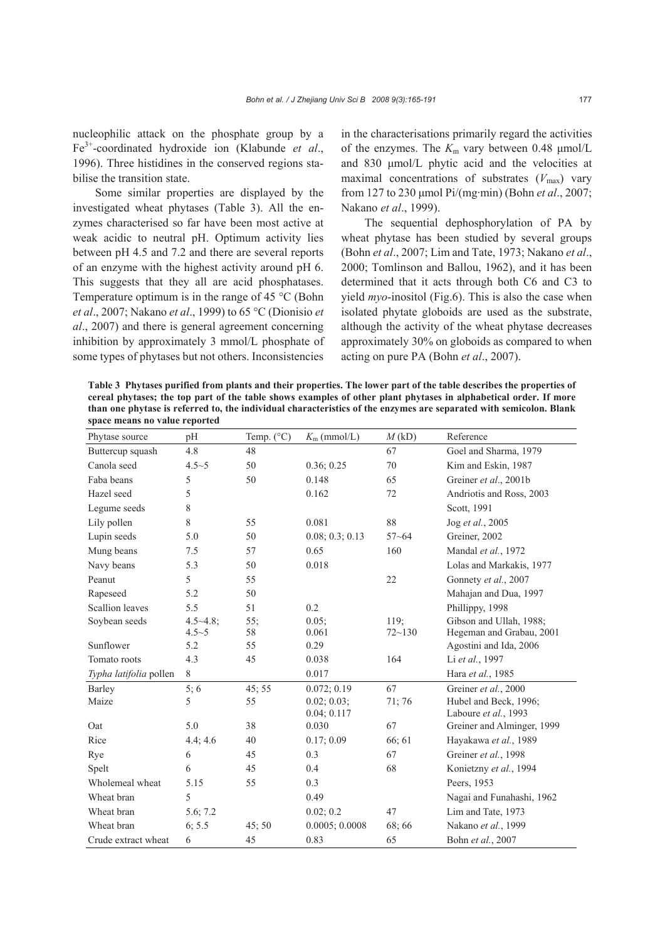nucleophilic attack on the phosphate group by a Fe3+-coordinated hydroxide ion (Klabunde *et al*., 1996). Three histidines in the conserved regions stabilise the transition state.

Some similar properties are displayed by the investigated wheat phytases (Table 3). All the enzymes characterised so far have been most active at weak acidic to neutral pH. Optimum activity lies between pH 4.5 and 7.2 and there are several reports of an enzyme with the highest activity around pH 6. This suggests that they all are acid phosphatases. Temperature optimum is in the range of 45 °C (Bohn *et al*., 2007; Nakano *et al*., 1999) to 65 °C (Dionisio *et al*., 2007) and there is general agreement concerning inhibition by approximately 3 mmol/L phosphate of some types of phytases but not others. Inconsistencies

in the characterisations primarily regard the activities of the enzymes. The *K*m vary between 0.48 μmol/L and 830 μmol/L phytic acid and the velocities at maximal concentrations of substrates  $(V_{\text{max}})$  vary from 127 to 230 μmol Pi/(mg·min) (Bohn *et al*., 2007; Nakano *et al*., 1999).

The sequential dephosphorylation of PA by wheat phytase has been studied by several groups (Bohn *et al*., 2007; Lim and Tate, 1973; Nakano *et al*., 2000; Tomlinson and Ballou, 1962), and it has been determined that it acts through both C6 and C3 to yield *myo*-inositol (Fig.6). This is also the case when isolated phytate globoids are used as the substrate, although the activity of the wheat phytase decreases approximately 30% on globoids as compared to when acting on pure PA (Bohn *et al*., 2007).

**Table 3 Phytases purified from plants and their properties. The lower part of the table describes the properties of cereal phytases; the top part of the table shows examples of other plant phytases in alphabetical order. If more than one phytase is referred to, the individual characteristics of the enzymes are separated with semicolon. Blank space means no value reported** 

| Phytase source         | pH            | Temp. (°C) | $K_{\rm m}$ (mmol/L) | M(kD)      | Reference                  |
|------------------------|---------------|------------|----------------------|------------|----------------------------|
| Buttercup squash       | 4.8           | 48         |                      | 67         | Goel and Sharma, 1979      |
| Canola seed            | $4.5 - 5$     | 50         | 0.36; 0.25           | 70         | Kim and Eskin, 1987        |
| Faba beans             | 5             | 50         | 0.148                | 65         | Greiner et al., 2001b      |
| Hazel seed             | 5             |            | 0.162                | 72         | Andriotis and Ross, 2003   |
| Legume seeds           | 8             |            |                      |            | Scott, 1991                |
| Lily pollen            | 8             | 55         | 0.081                | 88         | Jog et al., 2005           |
| Lupin seeds            | 5.0           | 50         | 0.08; 0.3; 0.13      | $57 - 64$  | Greiner, 2002              |
| Mung beans             | 7.5           | 57         | 0.65                 | 160        | Mandal et al., 1972        |
| Navy beans             | 5.3           | 50         | 0.018                |            | Lolas and Markakis, 1977   |
| Peanut                 | 5             | 55         |                      | 22         | Gonnety et al., 2007       |
| Rapeseed               | 5.2           | 50         |                      |            | Mahajan and Dua, 1997      |
| Scallion leaves        | 5.5           | 51         | 0.2                  |            | Phillippy, 1998            |
| Soybean seeds          | $4.5 - 4.8$ ; | 55;        | $0.05$ ;             | 119;       | Gibson and Ullah, 1988;    |
|                        | $4.5 - 5$     | 58         | 0.061                | $72 - 130$ | Hegeman and Grabau, 2001   |
| Sunflower              | 5.2           | 55         | 0.29                 |            | Agostini and Ida, 2006     |
| Tomato roots           | 4.3           | 45         | 0.038                | 164        | Li et al., 1997            |
| Typha latifolia pollen | $\,$ 8 $\,$   |            | 0.017                |            | Hara et al., 1985          |
| Barley                 | 5; 6          | 45; 55     | 0.072; 0.19          | 67         | Greiner et al., 2000       |
| Maize                  | 5             | 55         | 0.02; 0.03;          | 71:76      | Hubel and Beck, 1996;      |
|                        |               |            | 0.04; 0.117          |            | Laboure et al., 1993       |
| Oat                    | 5.0           | 38         | 0.030                | 67         | Greiner and Alminger, 1999 |
| Rice                   | 4.4; 4.6      | 40         | 0.17; 0.09           | 66; 61     | Hayakawa et al., 1989      |
| Rye                    | 6             | 45         | 0.3                  | 67         | Greiner et al., 1998       |
| Spelt                  | 6             | 45         | 0.4                  | 68         | Konietzny et al., 1994     |
| Wholemeal wheat        | 5.15          | 55         | 0.3                  |            | Peers, 1953                |
| Wheat bran             | 5             |            | 0.49                 |            | Nagai and Funahashi, 1962  |
| Wheat bran             | 5.6; 7.2      |            | 0.02; 0.2            | 47         | Lim and Tate, 1973         |
| Wheat bran             | 6; 5.5        | 45;50      | 0.0005; 0.0008       | 68;66      | Nakano et al., 1999        |
| Crude extract wheat    | 6             | 45         | 0.83                 | 65         | Bohn et al., 2007          |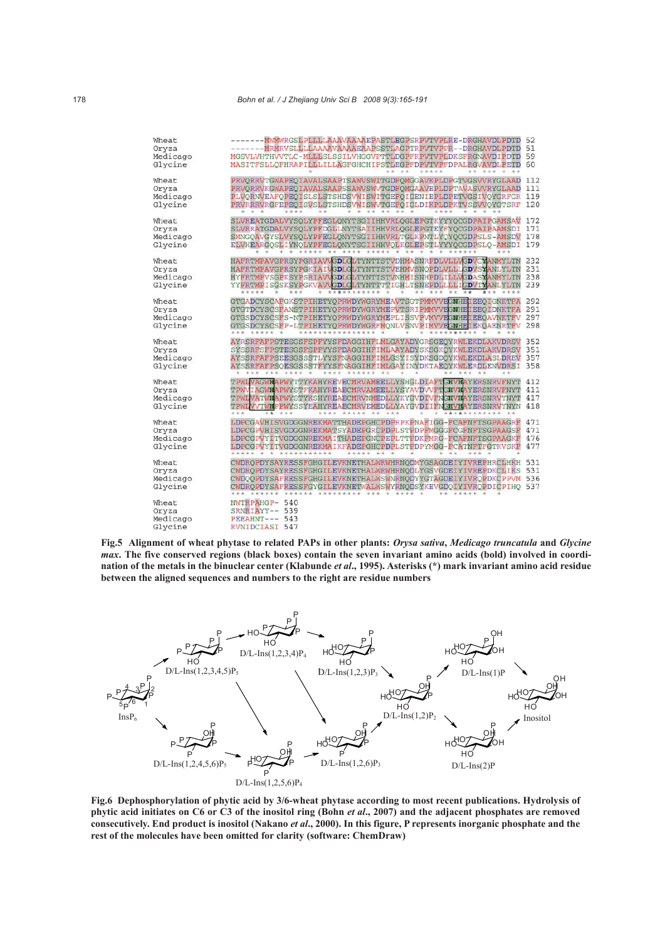| Wheat<br>Oryza<br>Medicago<br>Glycine | MWMWRGSLPLLLLAAAVAAAAEPASTLEGPSRPVTVPLRE-DRGHAVDLPDTD<br>-MRMRVSLLLLAAAAVAAAAEAAPSSTLAGPTRPVTVPPR--DRGHAVDLPDTD<br>MGSVLVHTHVVTLC-MLLLSLSSILVHGGVPTTLDGPFKPVTVPLDKSFRGNAVDIPDTD<br>MASITFSLLOFHRAPILLLLLLLAGFGHCHIPSTLEGPFDPVTVPFDPALRGVAVDLPETD<br>$* *$<br>$* *$<br>*****<br>***<br>$+4$<br>$\frac{1}{2}$                                               | 52<br>51<br>59<br>60     |
|---------------------------------------|-----------------------------------------------------------------------------------------------------------------------------------------------------------------------------------------------------------------------------------------------------------------------------------------------------------------------------------------------------------|--------------------------|
| Wheat<br>Oryza<br>Medicago<br>Glycine | PRVORRVTGWAPEOIAVALSAAPTSAWVSWITGDFOMGGAVKPLDPGTVGSVVRYGLAAD<br>PRVORRVKGWAPEOIAVALSAAPSSAWVSWVTGDFOMGAAVEPLDPTAVASVVRYGLAAD<br>PLVORNVEAFOPEOISLSLSTSHDSVWISWITGEFOIGENIEPLDPETVGSIVOYGRFGR<br>PRVRRRVRGFEPEOISVSLSTSHDSVWISWVTGEFOIGLDIKPLDPKTVSSVVOYGTSRF<br>****<br>* *<br>$\star$<br>**<br>**<br>****<br>via                                         | 112<br>111<br>119<br>120 |
| Wheat<br>Oryza<br>Medicago<br>Glycine | SLVREATGDALVYSOLYPFEGLONYTSGIIHHVRLOGLEPGTKYYYOCGDPAIPGAMSAV<br>SLVRRATGDALVYSOLYPFDGLLNYTSAIIHHVRLOGLEPGTEYFYOCGDPAIPAAMSDI<br>SMNGOAVGYSLVYSOLYPFEGLONYTSGIIHHVRLTGLKPNTLYOYOCGDPSLS-AMSDV<br>ELVHEARGOSLIYNOLYPFEGLONYTSGIIHHVOLKGLEPSTLYYYOCGDPSLO-AMSDI                                                                                              | 172<br>171<br>178<br>179 |
| Wheat<br>Oryza<br>Medicago<br>Glycine | HAFRTMPAVGPRSYPGRIAVVGDLGLTYNTTSTVDHMASNRPDLVLLVGDVCYANMYLTN<br>HAFRTMPAVGPRSYPGKIAIVGDLGLTYNTTSTVEHMVSNOPDLVLLLGDVSYANLYLTN<br>HYFRTMPVSGPKSYPSRIAVVGDLGLTYNTTSTVNHMISNHPDLILLVGDASYANMYLTN<br>YYFRTMPISGSKSYPGKVAVVGDLGLTYNTTTIGHLTSNEPDLLLLIGDVTYANLYLTN<br>***********<br>***<br>$\sim$<br>***<br>$4 - 4$                                             | 232<br>231<br>238<br>239 |
| Wheat<br>Oryza<br>Medicago<br>Glycine | GTGADCYSCAFGKSTPIHETYOPRWDYWGRYMEAVTSGTPMMVVEGNHE <mark>IEEOIGNKTFA</mark><br>GTGTDCYSCSFANSTPIHETYOPRWDYWGRYMEPVTSRIPMMVVEGNHETEEOIDNKTFA<br>GTGSDCYSCSFS-NTPIHETYOPRWDYWGRYMEPLISSVPVMVVEGNHEIEEOAVNKTFV<br>GTGSDCYSCSFP-LTPIHETYOPRWDYWGRFMONLVSNVPIMVVEGNHETEKOAENRTFV<br>**********<br>****************<br>$\star$<br>$\star$<br>$\Delta$<br>$\star$ | 292<br>291<br>297<br>298 |
| Wheat<br>Oryza<br>Medicago<br>Glycine | AYRSRFAFPSTESGSFSPFYYSFDAGGIHFLMLGAYADYGRSGEOYRWLEKDLAKVDRSV<br>SYSSRFSFPSTESGSFSPFYYSFDAGGIHFIMLAAYADYSKSGKOYKWLEKDLAKVDRSV<br>AYSSRFAFPSEESGSSSTLYYSFNAGGIHFIMLGSYISYDKSGDOYKWLEKDLASLDREV<br>AYSSRFAFPSOESGSSSTFYYSFNAGGIHFIMLGAYINYDKTAEOYKWLERDLENVDRSI<br>****<br>******<br>$***$<br>****<br>$**$<br>$* *$<br>$* * *$                               | 352<br>351<br>357<br>358 |
| Wheat<br>Orvza<br>Medicago<br>Glycine | TPWLVAGWHAPWYTTYKAHYREVECMRVAMEELLYSHGLDIAFTGHVHAYERSNRVFNYT<br>TPWVIAGWHAPWYSTFKAHYREAECMRVAMEELLYSYAVDVVFTGHVHAYERSNRVFNYT<br>TPWLVATWHAPWYSTYKSHYREAECMRVNMEDLLYKYGVDIVFNGHVHAYERSNRVYNYT<br>TPWLWVTWHPPWYSSYEAHYREAECMRVEMEDLLYAYGVDIIFNGHVHAYERSNRVYNYN<br>$***$<br>****<br>***<br>************<br>***<br>*****<br>**<br>$**$<br>s                   | 412<br>411<br>417<br>418 |
| Wheat<br>Oryza<br>Medicago<br>Glycine | LDPCGAVHISVGDGGNREKMATTHADEPGHCPDPRPKPNAFIGG-FCAFNFTSGPAAGRF<br>LDPCGPVHISVGDGGNREKMATSYADEPGRCPDPLSTPDPFMGGGFCGFNFTSGPAAGSF<br>LDPCGPVYITVGDGGNREKMAITHADEPGNCPEPLTTPDKFMRG-FCAFNFTSGPAAGKF<br>LDPCGPVYITVGDGGNREKMAIKFADEPGHCPDPLSTPDPYMGG-FCATNFTFGTKVSKF<br>***********<br>***<br>**                                                                  | 471<br>471<br>476<br>477 |
| Wheat<br>Oryza<br>Medicago<br>Glycine | CWDRQPDYSAYRESSFGHGILEVKNETHALWRWHRNODMYGSAGDEIYIVREPHRCLHKH<br>CWDROPDYSAYRESSFGHGILEVKNETHALWRWHRNODLYGSVGDEIYIVREPDKCLIKS<br>CWDOOPDYSAFRESSFGHGILEVKNETHALWSWNRNODYYGTAGDEIYIVROPDKCPPVM<br>CWDROPDYSAFRESSFGYGILEVKNETWALWSWYRNODSYKEVGDOIYIVROPDICPIHO                                                                                              | 531<br>531<br>536<br>537 |
| Wheat<br>Oryza<br>Medicago<br>Glycine | NWTRPAHGP-<br>540<br>539<br>SRNRIAYY--<br>543<br>$PEEAHNT---$<br>RVNIDCIASI 547                                                                                                                                                                                                                                                                           |                          |

**Fig.5 Alignment of wheat phytase to related PAPs in other plants:** *Orysa sativa***,** *Medicago truncatula* **and** *Glycine max***. The five conserved regions (black boxes) contain the seven invariant amino acids (bold) involved in coordination of the metals in the binuclear center (Klabunde** *et al***., 1995). Asterisks (\*) mark invariant amino acid residue between the aligned sequences and numbers to the right are residue numbers** 



**Fig.6 Dephosphorylation of phytic acid by 3/6-wheat phytase according to most recent publications. Hydrolysis of phytic acid initiates on C6 or C3 of the inositol ring (Bohn** *et al***., 2007) and the adjacent phosphates are removed consecutively. End product is inositol (Nakano** *et al***., 2000). In this figure, P represents inorganic phosphate and the rest of the molecules have been omitted for clarity (software: ChemDraw)**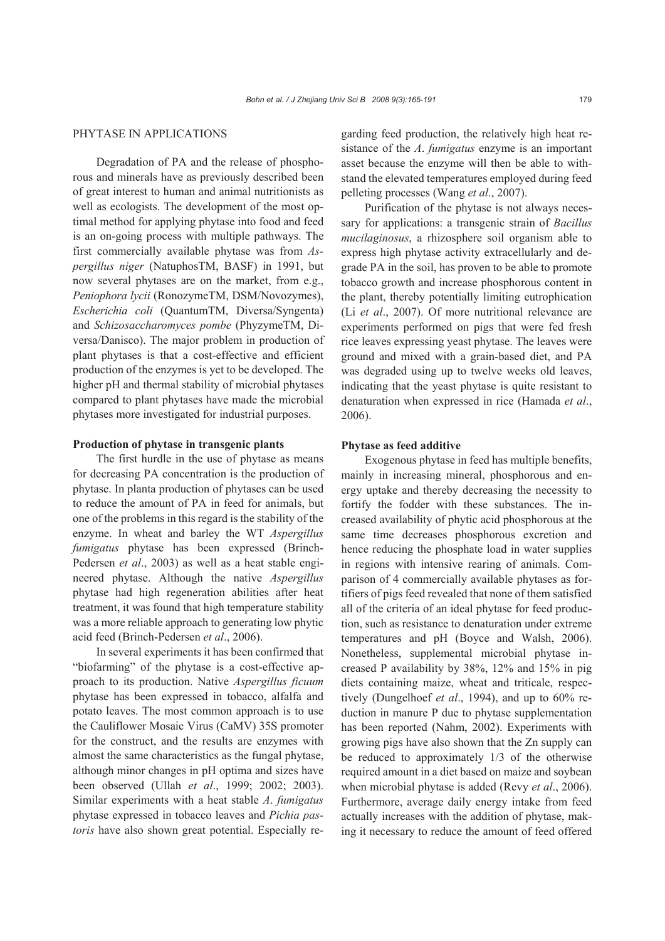## PHYTASE IN APPLICATIONS

Degradation of PA and the release of phosphorous and minerals have as previously described been of great interest to human and animal nutritionists as well as ecologists. The development of the most optimal method for applying phytase into food and feed is an on-going process with multiple pathways. The first commercially available phytase was from *Aspergillus niger* (NatuphosTM, BASF) in 1991, but now several phytases are on the market, from e.g., *Peniophora lycii* (RonozymeTM, DSM/Novozymes), *Escherichia coli* (QuantumTM, Diversa/Syngenta) and *Schizosaccharomyces pombe* (PhyzymeTM, Diversa/Danisco). The major problem in production of plant phytases is that a cost-effective and efficient production of the enzymes is yet to be developed. The higher pH and thermal stability of microbial phytases compared to plant phytases have made the microbial phytases more investigated for industrial purposes.

#### **Production of phytase in transgenic plants**

The first hurdle in the use of phytase as means for decreasing PA concentration is the production of phytase. In planta production of phytases can be used to reduce the amount of PA in feed for animals, but one of the problems in this regard is the stability of the enzyme. In wheat and barley the WT *Aspergillus fumigatus* phytase has been expressed (Brinch-Pedersen *et al*., 2003) as well as a heat stable engineered phytase. Although the native *Aspergillus*  phytase had high regeneration abilities after heat treatment, it was found that high temperature stability was a more reliable approach to generating low phytic acid feed (Brinch-Pedersen *et al*., 2006).

In several experiments it has been confirmed that "biofarming" of the phytase is a cost-effective approach to its production. Native *Aspergillus ficuum*  phytase has been expressed in tobacco, alfalfa and potato leaves. The most common approach is to use the Cauliflower Mosaic Virus (CaMV) 35S promoter for the construct, and the results are enzymes with almost the same characteristics as the fungal phytase, although minor changes in pH optima and sizes have been observed (Ullah *et al*., 1999; 2002; 2003). Similar experiments with a heat stable *A*. *fumigatus*  phytase expressed in tobacco leaves and *Pichia pastoris* have also shown great potential. Especially regarding feed production, the relatively high heat resistance of the *A*. *fumigatus* enzyme is an important asset because the enzyme will then be able to withstand the elevated temperatures employed during feed pelleting processes (Wang *et al*., 2007).

Purification of the phytase is not always necessary for applications: a transgenic strain of *Bacillus mucilaginosus*, a rhizosphere soil organism able to express high phytase activity extracellularly and degrade PA in the soil, has proven to be able to promote tobacco growth and increase phosphorous content in the plant, thereby potentially limiting eutrophication (Li *et al*., 2007). Of more nutritional relevance are experiments performed on pigs that were fed fresh rice leaves expressing yeast phytase. The leaves were ground and mixed with a grain-based diet, and PA was degraded using up to twelve weeks old leaves, indicating that the yeast phytase is quite resistant to denaturation when expressed in rice (Hamada *et al*., 2006).

## **Phytase as feed additive**

Exogenous phytase in feed has multiple benefits, mainly in increasing mineral, phosphorous and energy uptake and thereby decreasing the necessity to fortify the fodder with these substances. The increased availability of phytic acid phosphorous at the same time decreases phosphorous excretion and hence reducing the phosphate load in water supplies in regions with intensive rearing of animals. Comparison of 4 commercially available phytases as fortifiers of pigs feed revealed that none of them satisfied all of the criteria of an ideal phytase for feed production, such as resistance to denaturation under extreme temperatures and pH (Boyce and Walsh, 2006). Nonetheless, supplemental microbial phytase increased P availability by 38%, 12% and 15% in pig diets containing maize, wheat and triticale, respectively (Dungelhoef *et al*., 1994), and up to 60% reduction in manure P due to phytase supplementation has been reported (Nahm, 2002). Experiments with growing pigs have also shown that the Zn supply can be reduced to approximately 1/3 of the otherwise required amount in a diet based on maize and soybean when microbial phytase is added (Revy *et al*., 2006). Furthermore, average daily energy intake from feed actually increases with the addition of phytase, making it necessary to reduce the amount of feed offered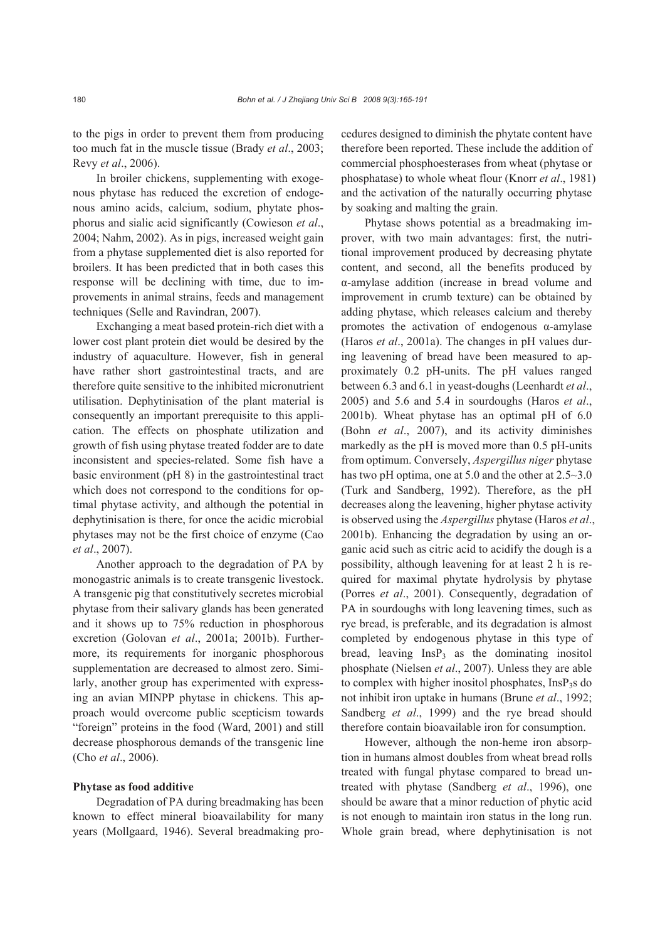to the pigs in order to prevent them from producing too much fat in the muscle tissue (Brady *et al*., 2003; Revy *et al*., 2006).

In broiler chickens, supplementing with exogenous phytase has reduced the excretion of endogenous amino acids, calcium, sodium, phytate phosphorus and sialic acid significantly (Cowieson *et al*., 2004; Nahm, 2002). As in pigs, increased weight gain from a phytase supplemented diet is also reported for broilers. It has been predicted that in both cases this response will be declining with time, due to improvements in animal strains, feeds and management techniques (Selle and Ravindran, 2007).

Exchanging a meat based protein-rich diet with a lower cost plant protein diet would be desired by the industry of aquaculture. However, fish in general have rather short gastrointestinal tracts, and are therefore quite sensitive to the inhibited micronutrient utilisation. Dephytinisation of the plant material is consequently an important prerequisite to this application. The effects on phosphate utilization and growth of fish using phytase treated fodder are to date inconsistent and species-related. Some fish have a basic environment (pH 8) in the gastrointestinal tract which does not correspond to the conditions for optimal phytase activity, and although the potential in dephytinisation is there, for once the acidic microbial phytases may not be the first choice of enzyme (Cao *et al*., 2007).

Another approach to the degradation of PA by monogastric animals is to create transgenic livestock. A transgenic pig that constitutively secretes microbial phytase from their salivary glands has been generated and it shows up to 75% reduction in phosphorous excretion (Golovan *et al*., 2001a; 2001b). Furthermore, its requirements for inorganic phosphorous supplementation are decreased to almost zero. Similarly, another group has experimented with expressing an avian MINPP phytase in chickens. This approach would overcome public scepticism towards "foreign" proteins in the food (Ward, 2001) and still decrease phosphorous demands of the transgenic line (Cho *et al*., 2006).

#### **Phytase as food additive**

Degradation of PA during breadmaking has been known to effect mineral bioavailability for many years (Mollgaard, 1946). Several breadmaking procedures designed to diminish the phytate content have therefore been reported. These include the addition of commercial phosphoesterases from wheat (phytase or phosphatase) to whole wheat flour (Knorr *et al*., 1981) and the activation of the naturally occurring phytase by soaking and malting the grain.

Phytase shows potential as a breadmaking improver, with two main advantages: first, the nutritional improvement produced by decreasing phytate content, and second, all the benefits produced by α-amylase addition (increase in bread volume and improvement in crumb texture) can be obtained by adding phytase, which releases calcium and thereby promotes the activation of endogenous α-amylase (Haros *et al*., 2001a). The changes in pH values during leavening of bread have been measured to approximately 0.2 pH-units. The pH values ranged between 6.3 and 6.1 in yeast-doughs (Leenhardt *et al*., 2005) and 5.6 and 5.4 in sourdoughs (Haros *et al*., 2001b). Wheat phytase has an optimal pH of 6.0 (Bohn *et al*., 2007), and its activity diminishes markedly as the pH is moved more than 0.5 pH-units from optimum. Conversely, *Aspergillus niger* phytase has two pH optima, one at 5.0 and the other at  $2.5 \sim 3.0$ (Turk and Sandberg, 1992). Therefore, as the pH decreases along the leavening, higher phytase activity is observed using the *Aspergillus* phytase (Haros *et al*., 2001b). Enhancing the degradation by using an organic acid such as citric acid to acidify the dough is a possibility, although leavening for at least 2 h is required for maximal phytate hydrolysis by phytase (Porres *et al*., 2001). Consequently, degradation of PA in sourdoughs with long leavening times, such as rye bread, is preferable, and its degradation is almost completed by endogenous phytase in this type of bread, leaving  $InsP<sub>3</sub>$  as the dominating inositol phosphate (Nielsen *et al*., 2007). Unless they are able to complex with higher inositol phosphates,  $InsP<sub>3</sub>s$  do not inhibit iron uptake in humans (Brune *et al*., 1992; Sandberg *et al*., 1999) and the rye bread should therefore contain bioavailable iron for consumption.

However, although the non-heme iron absorption in humans almost doubles from wheat bread rolls treated with fungal phytase compared to bread untreated with phytase (Sandberg *et al*., 1996), one should be aware that a minor reduction of phytic acid is not enough to maintain iron status in the long run. Whole grain bread, where dephytinisation is not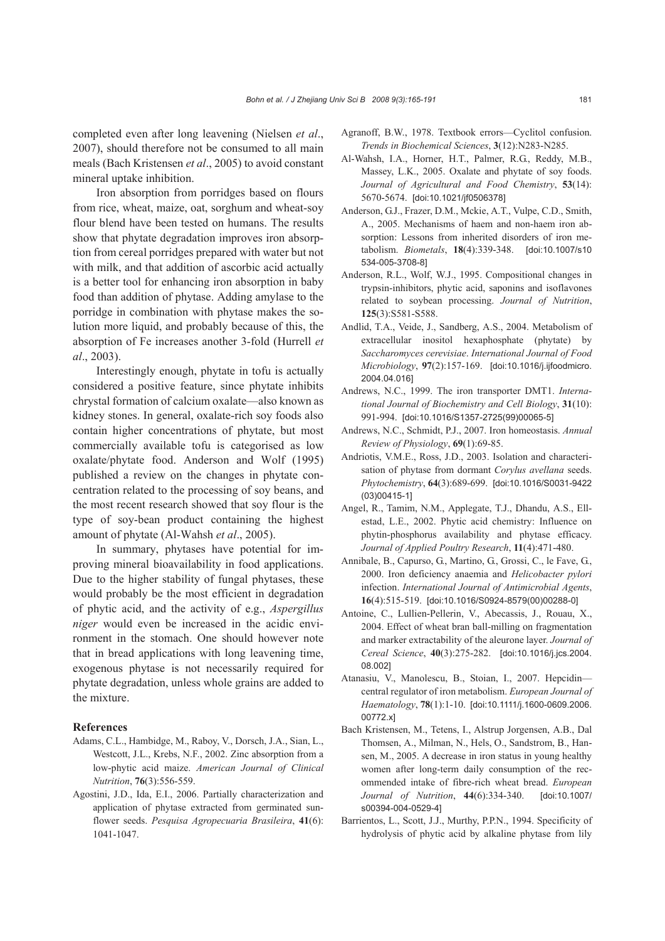completed even after long leavening (Nielsen *et al*., 2007), should therefore not be consumed to all main meals (Bach Kristensen *et al*., 2005) to avoid constant mineral uptake inhibition.

Iron absorption from porridges based on flours from rice, wheat, maize, oat, sorghum and wheat-soy flour blend have been tested on humans. The results show that phytate degradation improves iron absorption from cereal porridges prepared with water but not with milk, and that addition of ascorbic acid actually is a better tool for enhancing iron absorption in baby food than addition of phytase. Adding amylase to the porridge in combination with phytase makes the solution more liquid, and probably because of this, the absorption of Fe increases another 3-fold (Hurrell *et al*., 2003).

Interestingly enough, phytate in tofu is actually considered a positive feature, since phytate inhibits chrystal formation of calcium oxalate—also known as kidney stones. In general, oxalate-rich soy foods also contain higher concentrations of phytate, but most commercially available tofu is categorised as low oxalate/phytate food. Anderson and Wolf (1995) published a review on the changes in phytate concentration related to the processing of soy beans, and the most recent research showed that soy flour is the type of soy-bean product containing the highest amount of phytate (Al-Wahsh *et al*., 2005).

In summary, phytases have potential for improving mineral bioavailability in food applications. Due to the higher stability of fungal phytases, these would probably be the most efficient in degradation of phytic acid, and the activity of e.g., *Aspergillus niger* would even be increased in the acidic environment in the stomach. One should however note that in bread applications with long leavening time, exogenous phytase is not necessarily required for phytate degradation, unless whole grains are added to the mixture.

## **References**

- Adams, C.L., Hambidge, M., Raboy, V., Dorsch, J.A., Sian, L., Westcott, J.L., Krebs, N.F., 2002. Zinc absorption from a low-phytic acid maize. *American Journal of Clinical Nutrition*, **76**(3):556-559.
- Agostini, J.D., Ida, E.I., 2006. Partially characterization and application of phytase extracted from germinated sunflower seeds. *Pesquisa Agropecuaria Brasileira*, **41**(6): 1041-1047.
- Agranoff, B.W., 1978. Textbook errors—Cyclitol confusion. *Trends in Biochemical Sciences*, **3**(12):N283-N285.
- Al-Wahsh, I.A., Horner, H.T., Palmer, R.G., Reddy, M.B., Massey, L.K., 2005. Oxalate and phytate of soy foods. *Journal of Agricultural and Food Chemistry*, **53**(14): 5670-5674. [doi:10.1021/jf0506378]
- Anderson, G.J., Frazer, D.M., Mckie, A.T., Vulpe, C.D., Smith, A., 2005. Mechanisms of haem and non-haem iron absorption: Lessons from inherited disorders of iron metabolism. *Biometals*, **18**(4):339-348. [doi:10.1007/s10 534-005-3708-8]
- Anderson, R.L., Wolf, W.J., 1995. Compositional changes in trypsin-inhibitors, phytic acid, saponins and isoflavones related to soybean processing. *Journal of Nutrition*, **125**(3):S581-S588.
- Andlid, T.A., Veide, J., Sandberg, A.S., 2004. Metabolism of extracellular inositol hexaphosphate (phytate) by *Saccharomyces cerevisiae*. *International Journal of Food Microbiology*, **97**(2):157-169. [doi:10.1016/j.ijfoodmicro. 2004.04.016]
- Andrews, N.C., 1999. The iron transporter DMT1. *International Journal of Biochemistry and Cell Biology*, **31**(10): 991-994. [doi:10.1016/S1357-2725(99)00065-5]
- Andrews, N.C., Schmidt, P.J., 2007. Iron homeostasis. *Annual Review of Physiology*, **69**(1):69-85.
- Andriotis, V.M.E., Ross, J.D., 2003. Isolation and characterisation of phytase from dormant *Corylus avellana* seeds. *Phytochemistry*, **64**(3):689-699. [doi:10.1016/S0031-9422 (03)00415-1]
- Angel, R., Tamim, N.M., Applegate, T.J., Dhandu, A.S., Ellestad, L.E., 2002. Phytic acid chemistry: Influence on phytin-phosphorus availability and phytase efficacy. *Journal of Applied Poultry Research*, **11**(4):471-480.
- Annibale, B., Capurso, G., Martino, G., Grossi, C., le Fave, G., 2000. Iron deficiency anaemia and *Helicobacter pylori* infection. *International Journal of Antimicrobial Agents*, **16**(4):515-519. [doi:10.1016/S0924-8579(00)00288-0]
- Antoine, C., Lullien-Pellerin, V., Abecassis, J., Rouau, X., 2004. Effect of wheat bran ball-milling on fragmentation and marker extractability of the aleurone layer. *Journal of Cereal Science*, **40**(3):275-282. [doi:10.1016/j.jcs.2004. 08.002]
- Atanasiu, V., Manolescu, B., Stoian, I., 2007. Hepcidin central regulator of iron metabolism. *European Journal of Haematology*, **78**(1):1-10. [doi:10.1111/j.1600-0609.2006. 00772.x]
- Bach Kristensen, M., Tetens, I., Alstrup Jorgensen, A.B., Dal Thomsen, A., Milman, N., Hels, O., Sandstrom, B., Hansen, M., 2005. A decrease in iron status in young healthy women after long-term daily consumption of the recommended intake of fibre-rich wheat bread. *European Journal of Nutrition*, **44**(6):334-340. [doi:10.1007/ s00394-004-0529-4]
- Barrientos, L., Scott, J.J., Murthy, P.P.N., 1994. Specificity of hydrolysis of phytic acid by alkaline phytase from lily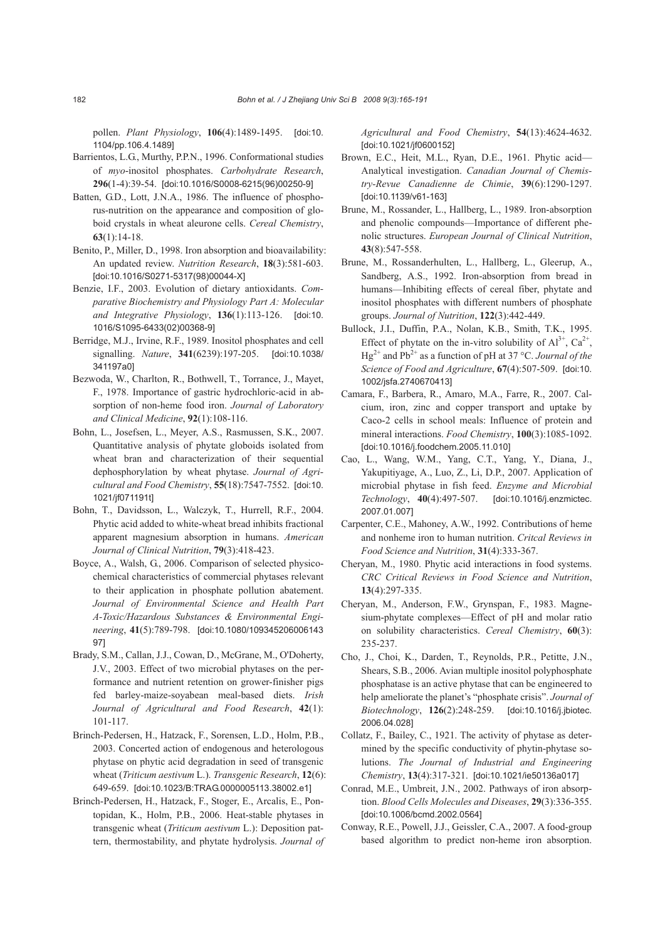pollen. *Plant Physiology*, **106**(4):1489-1495. [doi:10. 1104/pp.106.4.1489]

- Barrientos, L.G., Murthy, P.P.N., 1996. Conformational studies of *myo*-inositol phosphates. *Carbohydrate Research*, **296**(1-4):39-54. [doi:10.1016/S0008-6215(96)00250-9]
- Batten, G.D., Lott, J.N.A., 1986. The influence of phosphorus-nutrition on the appearance and composition of globoid crystals in wheat aleurone cells. *Cereal Chemistry*, **63**(1):14-18.
- Benito, P., Miller, D., 1998. Iron absorption and bioavailability: An updated review. *Nutrition Research*, **18**(3):581-603. [doi:10.1016/S0271-5317(98)00044-X]
- Benzie, I.F., 2003. Evolution of dietary antioxidants. *Comparative Biochemistry and Physiology Part A: Molecular and Integrative Physiology*, **136**(1):113-126. [doi:10. 1016/S1095-6433(02)00368-9]
- Berridge, M.J., Irvine, R.F., 1989. Inositol phosphates and cell signalling. *Nature*, **341**(6239):197-205. [doi:10.1038/ 341197a0]
- Bezwoda, W., Charlton, R., Bothwell, T., Torrance, J., Mayet, F., 1978. Importance of gastric hydrochloric-acid in absorption of non-heme food iron. *Journal of Laboratory and Clinical Medicine*, **92**(1):108-116.
- Bohn, L., Josefsen, L., Meyer, A.S., Rasmussen, S.K., 2007. Quantitative analysis of phytate globoids isolated from wheat bran and characterization of their sequential dephosphorylation by wheat phytase. *Journal of Agricultural and Food Chemistry*, **55**(18):7547-7552. [doi:10. 1021/jf071191t]
- Bohn, T., Davidsson, L., Walczyk, T., Hurrell, R.F., 2004. Phytic acid added to white-wheat bread inhibits fractional apparent magnesium absorption in humans. *American Journal of Clinical Nutrition*, **79**(3):418-423.
- Boyce, A., Walsh, G., 2006. Comparison of selected physicochemical characteristics of commercial phytases relevant to their application in phosphate pollution abatement. *Journal of Environmental Science and Health Part A-Toxic/Hazardous Substances & Environmental Engineering*, **41**(5):789-798. [doi:10.1080/109345206006143 97]
- Brady, S.M., Callan, J.J., Cowan, D., McGrane, M., O'Doherty, J.V., 2003. Effect of two microbial phytases on the performance and nutrient retention on grower-finisher pigs fed barley-maize-soyabean meal-based diets. *Irish Journal of Agricultural and Food Research*, **42**(1): 101-117.
- Brinch-Pedersen, H., Hatzack, F., Sorensen, L.D., Holm, P.B., 2003. Concerted action of endogenous and heterologous phytase on phytic acid degradation in seed of transgenic wheat (*Triticum aestivum* L.). *Transgenic Research*, **12**(6): 649-659. [doi:10.1023/B:TRAG.0000005113.38002.e1]
- Brinch-Pedersen, H., Hatzack, F., Stoger, E., Arcalis, E., Pontopidan, K., Holm, P.B., 2006. Heat-stable phytases in transgenic wheat (*Triticum aestivum* L.): Deposition pattern, thermostability, and phytate hydrolysis. *Journal of*

*Agricultural and Food Chemistry*, **54**(13):4624-4632. [doi:10.1021/jf0600152]

- Brown, E.C., Heit, M.L., Ryan, D.E., 1961. Phytic acid— Analytical investigation. *Canadian Journal of Chemistry-Revue Canadienne de Chimie*, **39**(6):1290-1297. [doi:10.1139/v61-163]
- Brune, M., Rossander, L., Hallberg, L., 1989. Iron-absorption and phenolic compounds—Importance of different phenolic structures. *European Journal of Clinical Nutrition*, **43**(8):547-558.
- Brune, M., Rossanderhulten, L., Hallberg, L., Gleerup, A., Sandberg, A.S., 1992. Iron-absorption from bread in humans—Inhibiting effects of cereal fiber, phytate and inositol phosphates with different numbers of phosphate groups. *Journal of Nutrition*, **122**(3):442-449.
- Bullock, J.I., Duffin, P.A., Nolan, K.B., Smith, T.K., 1995. Effect of phytate on the in-vitro solubility of  $Al^{3+}$ ,  $Ca^{2+}$ ,  $Hg^{2+}$  and Pb<sup>2+</sup> as a function of pH at 37 °C. *Journal of the Science of Food and Agriculture*, **67**(4):507-509. [doi:10. 1002/jsfa.2740670413]
- Camara, F., Barbera, R., Amaro, M.A., Farre, R., 2007. Calcium, iron, zinc and copper transport and uptake by Caco-2 cells in school meals: Influence of protein and mineral interactions. *Food Chemistry*, **100**(3):1085-1092. [doi:10.1016/j.foodchem.2005.11.010]
- Cao, L., Wang, W.M., Yang, C.T., Yang, Y., Diana, J., Yakupitiyage, A., Luo, Z., Li, D.P., 2007. Application of microbial phytase in fish feed. *Enzyme and Microbial Technology*, **40**(4):497-507. [doi:10.1016/j.enzmictec. 2007.01.007]
- Carpenter, C.E., Mahoney, A.W., 1992. Contributions of heme and nonheme iron to human nutrition. *Critcal Reviews in Food Science and Nutrition*, **31**(4):333-367.
- Cheryan, M., 1980. Phytic acid interactions in food systems. *CRC Critical Reviews in Food Science and Nutrition*, **13**(4):297-335.
- Cheryan, M., Anderson, F.W., Grynspan, F., 1983. Magnesium-phytate complexes—Effect of pH and molar ratio on solubility characteristics. *Cereal Chemistry*, **60**(3): 235-237.
- Cho, J., Choi, K., Darden, T., Reynolds, P.R., Petitte, J.N., Shears, S.B., 2006. Avian multiple inositol polyphosphate phosphatase is an active phytase that can be engineered to help ameliorate the planet's "phosphate crisis". *Journal of Biotechnology*, **126**(2):248-259. [doi:10.1016/j.jbiotec. 2006.04.028]
- Collatz, F., Bailey, C., 1921. The activity of phytase as determined by the specific conductivity of phytin-phytase solutions. *The Journal of Industrial and Engineering Chemistry*, **13**(4):317-321. [doi:10.1021/ie50136a017]
- Conrad, M.E., Umbreit, J.N., 2002. Pathways of iron absorption. *Blood Cells Molecules and Diseases*, **29**(3):336-355. [doi:10.1006/bcmd.2002.0564]
- Conway, R.E., Powell, J.J., Geissler, C.A., 2007. A food-group based algorithm to predict non-heme iron absorption.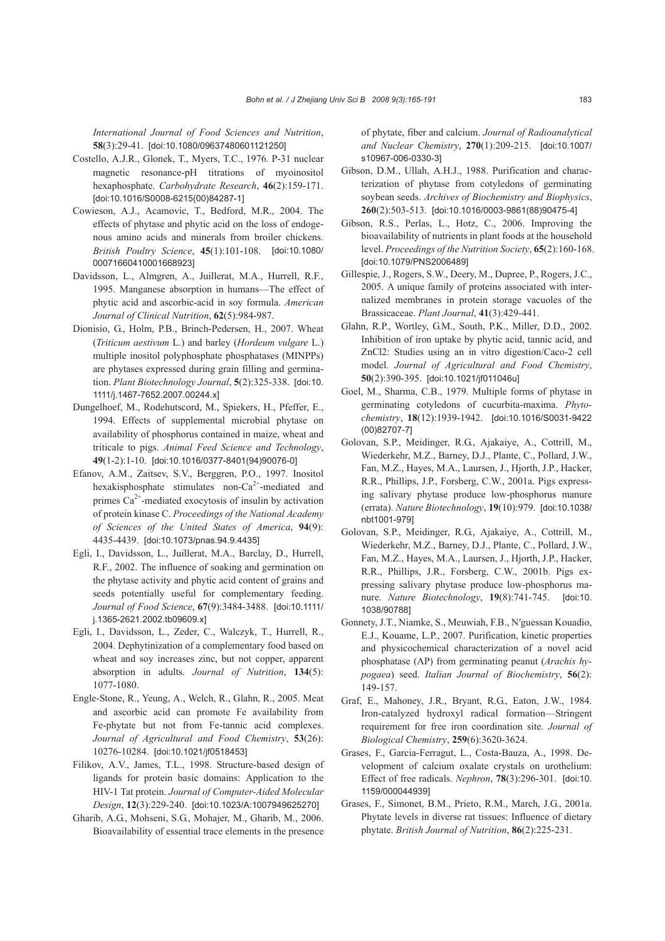*International Journal of Food Sciences and Nutrition*, **58**(3):29-41. [doi:10.1080/09637480601121250]

- Costello, A.J.R., Glonek, T., Myers, T.C., 1976. P-31 nuclear magnetic resonance-pH titrations of myoinositol hexaphosphate. *Carbohydrate Research*, **46**(2):159-171. [doi:10.1016/S0008-6215(00)84287-1]
- Cowieson, A.J., Acamovic, T., Bedford, M.R., 2004. The effects of phytase and phytic acid on the loss of endogenous amino acids and minerals from broiler chickens. *British Poultry Science*, **45**(1):101-108. [doi:10.1080/ 00071660410001668923]
- Davidsson, L., Almgren, A., Juillerat, M.A., Hurrell, R.F., 1995. Manganese absorption in humans—The effect of phytic acid and ascorbic-acid in soy formula. *American Journal of Clinical Nutrition*, **62**(5):984-987.
- Dionisio, G., Holm, P.B., Brinch-Pedersen, H., 2007. Wheat (*Triticum aestivum* L.) and barley (*Hordeum vulgare* L.) multiple inositol polyphosphate phosphatases (MINPPs) are phytases expressed during grain filling and germination. *Plant Biotechnology Journal*, **5**(2):325-338. [doi:10. 1111/j.1467-7652.2007.00244.x]
- Dungelhoef, M., Rodehutscord, M., Spiekers, H., Pfeffer, E., 1994. Effects of supplemental microbial phytase on availability of phosphorus contained in maize, wheat and triticale to pigs. *Animal Feed Science and Technology*, **49**(1-2):1-10. [doi:10.1016/0377-8401(94)90076-0]
- Efanov, A.M., Zaitsev, S.V., Berggren, P.O., 1997. Inositol hexakisphosphate stimulates non- $Ca^{2+}$ -mediated and primes  $Ca^{2+}$ -mediated exocytosis of insulin by activation of protein kinase C. *Proceedings of the National Academy of Sciences of the United States of America*, **94**(9): 4435-4439. [doi:10.1073/pnas.94.9.4435]
- Egli, I., Davidsson, L., Juillerat, M.A., Barclay, D., Hurrell, R.F., 2002. The influence of soaking and germination on the phytase activity and phytic acid content of grains and seeds potentially useful for complementary feeding. *Journal of Food Science*, **67**(9):3484-3488. [doi:10.1111/ j.1365-2621.2002.tb09609.x]
- Egli, I., Davidsson, L., Zeder, C., Walczyk, T., Hurrell, R., 2004. Dephytinization of a complementary food based on wheat and soy increases zinc, but not copper, apparent absorption in adults. *Journal of Nutrition*, **134**(5): 1077-1080.
- Engle-Stone, R., Yeung, A., Welch, R., Glahn, R., 2005. Meat and ascorbic acid can promote Fe availability from Fe-phytate but not from Fe-tannic acid complexes. *Journal of Agricultural and Food Chemistry*, **53**(26): 10276-10284. [doi:10.1021/jf0518453]
- Filikov, A.V., James, T.L., 1998. Structure-based design of ligands for protein basic domains: Application to the HIV-1 Tat protein. *Journal of Computer-Aided Molecular Design*, **12**(3):229-240. [doi:10.1023/A:1007949625270]
- Gharib, A.G., Mohseni, S.G., Mohajer, M., Gharib, M., 2006. Bioavailability of essential trace elements in the presence

of phytate, fiber and calcium. *Journal of Radioanalytical and Nuclear Chemistry*, **270**(1):209-215. [doi:10.1007/ s10967-006-0330-3]

- Gibson, D.M., Ullah, A.H.J., 1988. Purification and characterization of phytase from cotyledons of germinating soybean seeds. *Archives of Biochemistry and Biophysics*, **260**(2):503-513. [doi:10.1016/0003-9861(88)90475-4]
- Gibson, R.S., Perlas, L., Hotz, C., 2006. Improving the bioavailability of nutrients in plant foods at the household level. *Proceedings of the Nutrition Society*, **65**(2):160-168. [doi:10.1079/PNS2006489]
- Gillespie, J., Rogers, S.W., Deery, M., Dupree, P., Rogers, J.C., 2005. A unique family of proteins associated with internalized membranes in protein storage vacuoles of the Brassicaceae. *Plant Journal*, **41**(3):429-441.
- Glahn, R.P., Wortley, G.M., South, P.K., Miller, D.D., 2002. Inhibition of iron uptake by phytic acid, tannic acid, and ZnCl2: Studies using an in vitro digestion/Caco-2 cell model. *Journal of Agricultural and Food Chemistry*, **50**(2):390-395. [doi:10.1021/jf011046u]
- Goel, M., Sharma, C.B., 1979. Multiple forms of phytase in germinating cotyledons of cucurbita-maxima. *Phytochemistry*, **18**(12):1939-1942. [doi:10.1016/S0031-9422 (00)82707-7]
- Golovan, S.P., Meidinger, R.G., Ajakaiye, A., Cottrill, M., Wiederkehr, M.Z., Barney, D.J., Plante, C., Pollard, J.W., Fan, M.Z., Hayes, M.A., Laursen, J., Hjorth, J.P., Hacker, R.R., Phillips, J.P., Forsberg, C.W., 2001a. Pigs expressing salivary phytase produce low-phosphorus manure (errata). *Nature Biotechnology*, **19**(10):979. [doi:10.1038/ nbt1001-979]
- Golovan, S.P., Meidinger, R.G., Ajakaiye, A., Cottrill, M., Wiederkehr, M.Z., Barney, D.J., Plante, C., Pollard, J.W., Fan, M.Z., Hayes, M.A., Laursen, J., Hjorth, J.P., Hacker, R.R., Phillips, J.R., Forsberg, C.W., 2001b. Pigs expressing salivary phytase produce low-phosphorus manure. *Nature Biotechnology*, **19**(8):741-745. [doi:10. 1038/90788]
- Gonnety, J.T., Niamke, S., Meuwiah, F.B., N′guessan Kouadio, E.J., Kouame, L.P., 2007. Purification, kinetic properties and physicochemical characterization of a novel acid phosphatase (AP) from germinating peanut (*Arachis hypogaea*) seed. *Italian Journal of Biochemistry*, **56**(2): 149-157.
- Graf, E., Mahoney, J.R., Bryant, R.G., Eaton, J.W., 1984. Iron-catalyzed hydroxyl radical formation—Stringent requirement for free iron coordination site. *Journal of Biological Chemistry*, **259**(6):3620-3624.
- Grases, F., Garcia-Ferragut, L., Costa-Bauza, A., 1998. Development of calcium oxalate crystals on urothelium: Effect of free radicals. *Nephron*, **78**(3):296-301. [doi:10. 1159/000044939]
- Grases, F., Simonet, B.M., Prieto, R.M., March, J.G., 2001a. Phytate levels in diverse rat tissues: Influence of dietary phytate. *British Journal of Nutrition*, **86**(2):225-231.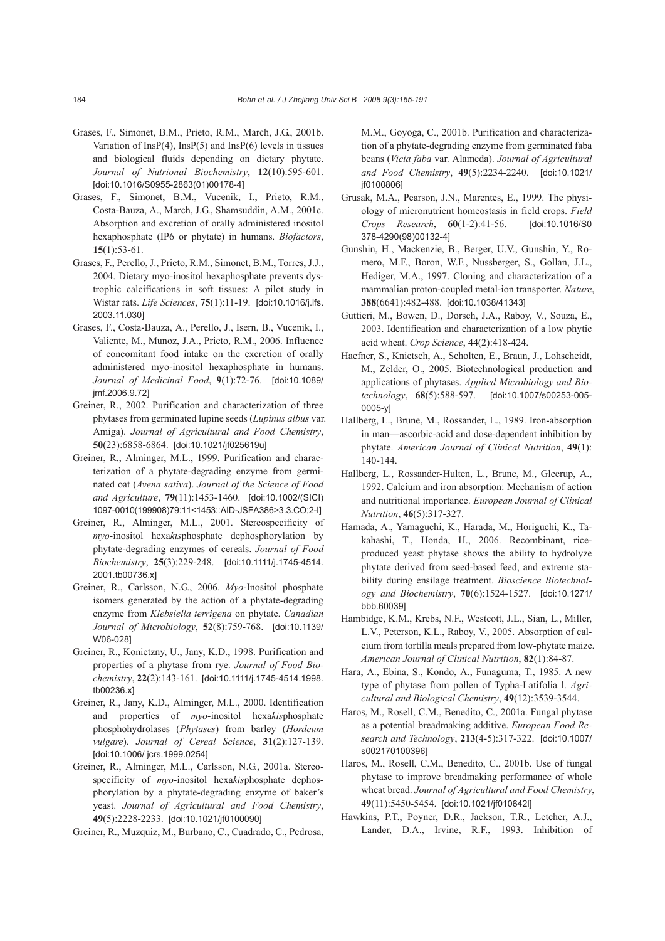- Grases, F., Simonet, B.M., Prieto, R.M., March, J.G., 2001b. Variation of  $InsP(4)$ ,  $InsP(5)$  and  $InsP(6)$  levels in tissues and biological fluids depending on dietary phytate. *Journal of Nutrional Biochemistry*, **12**(10):595-601. [doi:10.1016/S0955-2863(01)00178-4]
- Grases, F., Simonet, B.M., Vucenik, I., Prieto, R.M., Costa-Bauza, A., March, J.G., Shamsuddin, A.M., 2001c. Absorption and excretion of orally administered inositol hexaphosphate (IP6 or phytate) in humans. *Biofactors*, **15**(1):53-61.
- Grases, F., Perello, J., Prieto, R.M., Simonet, B.M., Torres, J.J., 2004. Dietary myo-inositol hexaphosphate prevents dystrophic calcifications in soft tissues: A pilot study in Wistar rats. *Life Sciences*, **75**(1):11-19. [doi:10.1016/j.lfs. 2003.11.030]
- Grases, F., Costa-Bauza, A., Perello, J., Isern, B., Vucenik, I., Valiente, M., Munoz, J.A., Prieto, R.M., 2006. Influence of concomitant food intake on the excretion of orally administered myo-inositol hexaphosphate in humans. *Journal of Medicinal Food*, **9**(1):72-76. [doi:10.1089/ jmf.2006.9.72]
- Greiner, R., 2002. Purification and characterization of three phytases from germinated lupine seeds (*Lupinus albus* var. Amiga). *Journal of Agricultural and Food Chemistry*, **50**(23):6858-6864. [doi:10.1021/jf025619u]
- Greiner, R., Alminger, M.L., 1999. Purification and characterization of a phytate-degrading enzyme from germinated oat (*Avena sativa*). *Journal of the Science of Food and Agriculture*, **79**(11):1453-1460. [doi:10.1002/(SICI) 1097-0010(199908)79:11<1453::AID-JSFA386>3.3.CO;2-I]
- Greiner, R., Alminger, M.L., 2001. Stereospecificity of *myo*-inositol hexa*kis*phosphate dephosphorylation by phytate-degrading enzymes of cereals. *Journal of Food Biochemistry*, **25**(3):229-248. [doi:10.1111/j.1745-4514. 2001.tb00736.x]
- Greiner, R., Carlsson, N.G., 2006. *Myo*-Inositol phosphate isomers generated by the action of a phytate-degrading enzyme from *Klebsiella terrigena* on phytate. *Canadian Journal of Microbiology*, **52**(8):759-768. [doi:10.1139/ W06-028]
- Greiner, R., Konietzny, U., Jany, K.D., 1998. Purification and properties of a phytase from rye. *Journal of Food Biochemistry*, **22**(2):143-161. [doi:10.1111/j.1745-4514.1998. tb00236.x]
- Greiner, R., Jany, K.D., Alminger, M.L., 2000. Identification and properties of *myo*-inositol hexa*kis*phosphate phosphohydrolases (*Phytases*) from barley (*Hordeum vulgare*). *Journal of Cereal Science*, **31**(2):127-139. [doi:10.1006/ jcrs.1999.0254]
- Greiner, R., Alminger, M.L., Carlsson, N.G., 2001a. Stereospecificity of *myo*-inositol hexa*kis*phosphate dephosphorylation by a phytate-degrading enzyme of baker's yeast. *Journal of Agricultural and Food Chemistry*, **49**(5):2228-2233. [doi:10.1021/jf0100090]
- Greiner, R., Muzquiz, M., Burbano, C., Cuadrado, C., Pedrosa,

M.M., Goyoga, C., 2001b. Purification and characterization of a phytate-degrading enzyme from germinated faba beans (*Vicia faba* var. Alameda). *Journal of Agricultural and Food Chemistry*, **49**(5):2234-2240. [doi:10.1021/ jf0100806]

- Grusak, M.A., Pearson, J.N., Marentes, E., 1999. The physiology of micronutrient homeostasis in field crops. *Field Crops Research*, **60**(1-2):41-56. [doi:10.1016/S0 378-4290(98)00132-4]
- Gunshin, H., Mackenzie, B., Berger, U.V., Gunshin, Y., Romero, M.F., Boron, W.F., Nussberger, S., Gollan, J.L., Hediger, M.A., 1997. Cloning and characterization of a mammalian proton-coupled metal-ion transporter. *Nature*, **388**(6641):482-488. [doi:10.1038/41343]
- Guttieri, M., Bowen, D., Dorsch, J.A., Raboy, V., Souza, E., 2003. Identification and characterization of a low phytic acid wheat. *Crop Science*, **44**(2):418-424.
- Haefner, S., Knietsch, A., Scholten, E., Braun, J., Lohscheidt, M., Zelder, O., 2005. Biotechnological production and applications of phytases. *Applied Microbiology and Biotechnology*, **68**(5):588-597. [doi:10.1007/s00253-005- 0005-y]
- Hallberg, L., Brune, M., Rossander, L., 1989. Iron-absorption in man—ascorbic-acid and dose-dependent inhibition by phytate. *American Journal of Clinical Nutrition*, **49**(1): 140-144.
- Hallberg, L., Rossander-Hulten, L., Brune, M., Gleerup, A., 1992. Calcium and iron absorption: Mechanism of action and nutritional importance. *European Journal of Clinical Nutrition*, **46**(5):317-327.
- Hamada, A., Yamaguchi, K., Harada, M., Horiguchi, K., Takahashi, T., Honda, H., 2006. Recombinant, riceproduced yeast phytase shows the ability to hydrolyze phytate derived from seed-based feed, and extreme stability during ensilage treatment. *Bioscience Biotechnology and Biochemistry*, **70**(6):1524-1527. [doi:10.1271/ bbb.60039]
- Hambidge, K.M., Krebs, N.F., Westcott, J.L., Sian, L., Miller, L.V., Peterson, K.L., Raboy, V., 2005. Absorption of calcium from tortilla meals prepared from low-phytate maize. *American Journal of Clinical Nutrition*, **82**(1):84-87.
- Hara, A., Ebina, S., Kondo, A., Funaguma, T., 1985. A new type of phytase from pollen of Typha-Latifolia l. *Agricultural and Biological Chemistry*, **49**(12):3539-3544.
- Haros, M., Rosell, C.M., Benedito, C., 2001a. Fungal phytase as a potential breadmaking additive. *European Food Research and Technology*, **213**(4-5):317-322. [doi:10.1007/ s002170100396]
- Haros, M., Rosell, C.M., Benedito, C., 2001b. Use of fungal phytase to improve breadmaking performance of whole wheat bread. *Journal of Agricultural and Food Chemistry*, **49**(11):5450-5454. [doi:10.1021/jf010642l]
- Hawkins, P.T., Poyner, D.R., Jackson, T.R., Letcher, A.J., Lander, D.A., Irvine, R.F., 1993. Inhibition of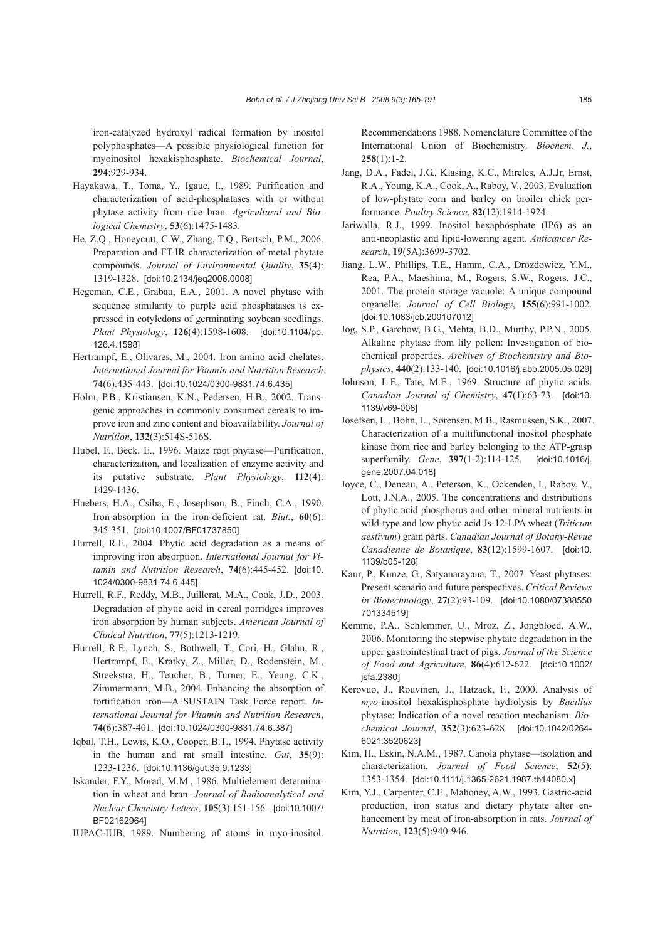iron-catalyzed hydroxyl radical formation by inositol polyphosphates—A possible physiological function for myoinositol hexakisphosphate. *Biochemical Journal*, **294**:929-934.

- Hayakawa, T., Toma, Y., Igaue, I., 1989. Purification and characterization of acid-phosphatases with or without phytase activity from rice bran. *Agricultural and Biological Chemistry*, **53**(6):1475-1483.
- He, Z.Q., Honeycutt, C.W., Zhang, T.Q., Bertsch, P.M., 2006. Preparation and FT-IR characterization of metal phytate compounds. *Journal of Environmental Quality*, **35**(4): 1319-1328. [doi:10.2134/jeq2006.0008]
- Hegeman, C.E., Grabau, E.A., 2001. A novel phytase with sequence similarity to purple acid phosphatases is expressed in cotyledons of germinating soybean seedlings. *Plant Physiology*, **126**(4):1598-1608. [doi:10.1104/pp. 126.4.1598]
- Hertrampf, E., Olivares, M., 2004. Iron amino acid chelates. *International Journal for Vitamin and Nutrition Research*, **74**(6):435-443. [doi:10.1024/0300-9831.74.6.435]
- Holm, P.B., Kristiansen, K.N., Pedersen, H.B., 2002. Transgenic approaches in commonly consumed cereals to improve iron and zinc content and bioavailability. *Journal of Nutrition*, **132**(3):514S-516S.
- Hubel, F., Beck, E., 1996. Maize root phytase—Purification, characterization, and localization of enzyme activity and its putative substrate. *Plant Physiology*, **112**(4): 1429-1436.
- Huebers, H.A., Csiba, E., Josephson, B., Finch, C.A., 1990. Iron-absorption in the iron-deficient rat. *Blut.*, **60**(6): 345-351. [doi:10.1007/BF01737850]
- Hurrell, R.F., 2004. Phytic acid degradation as a means of improving iron absorption. *International Journal for Vitamin and Nutrition Research*, **74**(6):445-452. [doi:10. 1024/0300-9831.74.6.445]
- Hurrell, R.F., Reddy, M.B., Juillerat, M.A., Cook, J.D., 2003. Degradation of phytic acid in cereal porridges improves iron absorption by human subjects. *American Journal of Clinical Nutrition*, **77**(5):1213-1219.
- Hurrell, R.F., Lynch, S., Bothwell, T., Cori, H., Glahn, R., Hertrampf, E., Kratky, Z., Miller, D., Rodenstein, M., Streekstra, H., Teucher, B., Turner, E., Yeung, C.K., Zimmermann, M.B., 2004. Enhancing the absorption of fortification iron—A SUSTAIN Task Force report. *International Journal for Vitamin and Nutrition Research*, **74**(6):387-401. [doi:10.1024/0300-9831.74.6.387]
- Iqbal, T.H., Lewis, K.O., Cooper, B.T., 1994. Phytase activity in the human and rat small intestine. *Gut*, **35**(9): 1233-1236. [doi:10.1136/gut.35.9.1233]
- Iskander, F.Y., Morad, M.M., 1986. Multielement determination in wheat and bran. *Journal of Radioanalytical and Nuclear Chemistry-Letters*, **105**(3):151-156. [doi:10.1007/ BF02162964]
- IUPAC-IUB, 1989. Numbering of atoms in myo-inositol.

Recommendations 1988. Nomenclature Committee of the International Union of Biochemistry. *Biochem. J.*, **258**(1):1-2.

- Jang, D.A., Fadel, J.G., Klasing, K.C., Mireles, A.J.Jr, Ernst, R.A., Young, K.A., Cook, A., Raboy, V., 2003. Evaluation of low-phytate corn and barley on broiler chick performance. *Poultry Science*, **82**(12):1914-1924.
- Jariwalla, R.J., 1999. Inositol hexaphosphate (IP6) as an anti-neoplastic and lipid-lowering agent. *Anticancer Research*, **19**(5A):3699-3702.
- Jiang, L.W., Phillips, T.E., Hamm, C.A., Drozdowicz, Y.M., Rea, P.A., Maeshima, M., Rogers, S.W., Rogers, J.C., 2001. The protein storage vacuole: A unique compound organelle. *Journal of Cell Biology*, **155**(6):991-1002. [doi:10.1083/jcb.200107012]
- Jog, S.P., Garchow, B.G., Mehta, B.D., Murthy, P.P.N., 2005. Alkaline phytase from lily pollen: Investigation of biochemical properties. *Archives of Biochemistry and Biophysics*, **440**(2):133-140. [doi:10.1016/j.abb.2005.05.029]
- Johnson, L.F., Tate, M.E., 1969. Structure of phytic acids. *Canadian Journal of Chemistry*, **47**(1):63-73. [doi:10. 1139/v69-008]
- Josefsen, L., Bohn, L., Sørensen, M.B., Rasmussen, S.K., 2007. Characterization of a multifunctional inositol phosphate kinase from rice and barley belonging to the ATP-grasp superfamily. *Gene*, **397**(1-2):114-125. [doi:10.1016/j. gene.2007.04.018]
- Joyce, C., Deneau, A., Peterson, K., Ockenden, I., Raboy, V., Lott, J.N.A., 2005. The concentrations and distributions of phytic acid phosphorus and other mineral nutrients in wild-type and low phytic acid Js-12-LPA wheat (*Triticum aestivum*) grain parts. *Canadian Journal of Botany-Revue Canadienne de Botanique*, **83**(12):1599-1607. [doi:10. 1139/b05-128]
- Kaur, P., Kunze, G., Satyanarayana, T., 2007. Yeast phytases: Present scenario and future perspectives. *Critical Reviews in Biotechnology*, **27**(2):93-109. [doi:10.1080/07388550 701334519]
- Kemme, P.A., Schlemmer, U., Mroz, Z., Jongbloed, A.W., 2006. Monitoring the stepwise phytate degradation in the upper gastrointestinal tract of pigs. *Journal of the Science of Food and Agriculture*, **86**(4):612-622. [doi:10.1002/ jsfa.2380]
- Kerovuo, J., Rouvinen, J., Hatzack, F., 2000. Analysis of *myo*-inositol hexakisphosphate hydrolysis by *Bacillus* phytase: Indication of a novel reaction mechanism. *Biochemical Journal*, **352**(3):623-628. [doi:10.1042/0264- 6021:3520623]
- Kim, H., Eskin, N.A.M., 1987. Canola phytase—isolation and characterization. *Journal of Food Science*, **52**(5): 1353-1354. [doi:10.1111/j.1365-2621.1987.tb14080.x]
- Kim, Y.J., Carpenter, C.E., Mahoney, A.W., 1993. Gastric-acid production, iron status and dietary phytate alter enhancement by meat of iron-absorption in rats. *Journal of Nutrition*, **123**(5):940-946.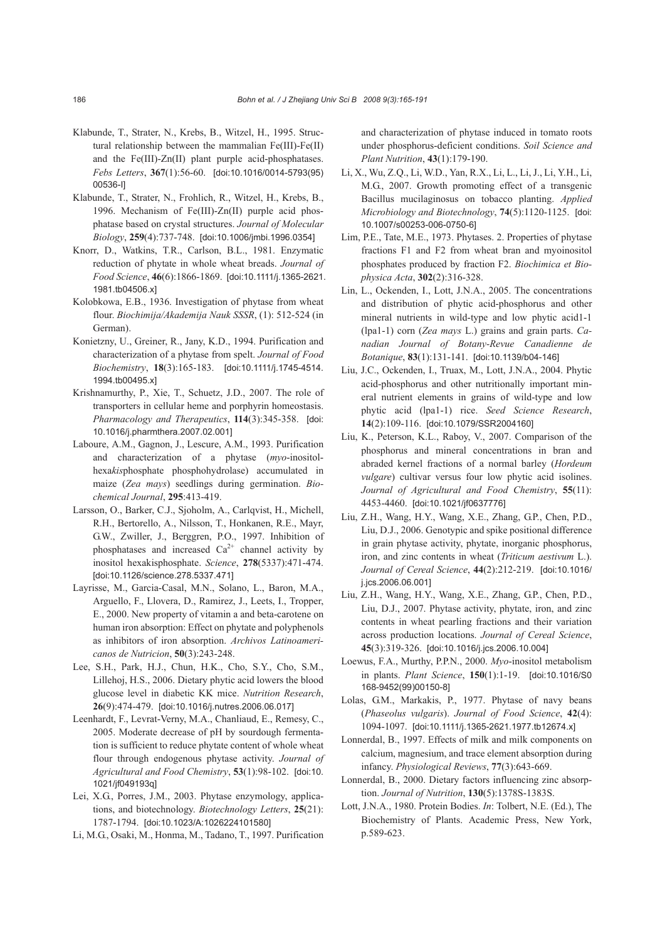- Klabunde, T., Strater, N., Krebs, B., Witzel, H., 1995. Structural relationship between the mammalian Fe(III)-Fe(II) and the Fe(III)-Zn(II) plant purple acid-phosphatases. *Febs Letters*, **367**(1):56-60. [doi:10.1016/0014-5793(95) 00536-I]
- Klabunde, T., Strater, N., Frohlich, R., Witzel, H., Krebs, B., 1996. Mechanism of Fe(III)-Zn(II) purple acid phosphatase based on crystal structures. *Journal of Molecular Biology*, **259**(4):737-748. [doi:10.1006/jmbi.1996.0354]
- Knorr, D., Watkins, T.R., Carlson, B.L., 1981. Enzymatic reduction of phytate in whole wheat breads. *Journal of Food Science*, **46**(6):1866-1869. [doi:10.1111/j.1365-2621. 1981.tb04506.x]
- Kolobkowa, E.B., 1936. Investigation of phytase from wheat flour. *Biochimija/Akademija Nauk SSSR*, (1): 512-524 (in German).
- Konietzny, U., Greiner, R., Jany, K.D., 1994. Purification and characterization of a phytase from spelt. *Journal of Food Biochemistry*, **18**(3):165-183. [doi:10.1111/j.1745-4514. 1994.tb00495.x]
- Krishnamurthy, P., Xie, T., Schuetz, J.D., 2007. The role of transporters in cellular heme and porphyrin homeostasis. *Pharmacology and Therapeutics*, **114**(3):345-358. [doi: 10.1016/j.pharmthera.2007.02.001]
- Laboure, A.M., Gagnon, J., Lescure, A.M., 1993. Purification and characterization of a phytase (*myo*-inositolhexa*kis*phosphate phosphohydrolase) accumulated in maize (*Zea mays*) seedlings during germination. *Biochemical Journal*, **295**:413-419.
- Larsson, O., Barker, C.J., Sjoholm, A., Carlqvist, H., Michell, R.H., Bertorello, A., Nilsson, T., Honkanen, R.E., Mayr, G.W., Zwiller, J., Berggren, P.O., 1997. Inhibition of phosphatases and increased  $Ca^{2+}$  channel activity by inositol hexakisphosphate. *Science*, **278**(5337):471-474. [doi:10.1126/science.278.5337.471]
- Layrisse, M., Garcia-Casal, M.N., Solano, L., Baron, M.A., Arguello, F., Llovera, D., Ramirez, J., Leets, I., Tropper, E., 2000. New property of vitamin a and beta-carotene on human iron absorption: Effect on phytate and polyphenols as inhibitors of iron absorption. *Archivos Latinoamericanos de Nutricion*, **50**(3):243-248.
- Lee, S.H., Park, H.J., Chun, H.K., Cho, S.Y., Cho, S.M., Lillehoj, H.S., 2006. Dietary phytic acid lowers the blood glucose level in diabetic KK mice. *Nutrition Research*, **26**(9):474-479. [doi:10.1016/j.nutres.2006.06.017]
- Leenhardt, F., Levrat-Verny, M.A., Chanliaud, E., Remesy, C., 2005. Moderate decrease of pH by sourdough fermentation is sufficient to reduce phytate content of whole wheat flour through endogenous phytase activity. *Journal of Agricultural and Food Chemistry*, **53**(1):98-102. [doi:10. 1021/jf049193q]
- Lei, X.G., Porres, J.M., 2003. Phytase enzymology, applications, and biotechnology. *Biotechnology Letters*, **25**(21): 1787-1794. [doi:10.1023/A:1026224101580]
- Li, M.G., Osaki, M., Honma, M., Tadano, T., 1997. Purification

and characterization of phytase induced in tomato roots under phosphorus-deficient conditions. *Soil Science and Plant Nutrition*, **43**(1):179-190.

- Li, X., Wu, Z.Q., Li, W.D., Yan, R.X., Li, L., Li, J., Li, Y.H., Li, M.G., 2007. Growth promoting effect of a transgenic Bacillus mucilaginosus on tobacco planting. *Applied Microbiology and Biotechnology*, **74**(5):1120-1125. [doi: 10.1007/s00253-006-0750-6]
- Lim, P.E., Tate, M.E., 1973. Phytases. 2. Properties of phytase fractions F1 and F2 from wheat bran and myoinositol phosphates produced by fraction F2. *Biochimica et Biophysica Acta*, **302**(2):316-328.
- Lin, L., Ockenden, I., Lott, J.N.A., 2005. The concentrations and distribution of phytic acid-phosphorus and other mineral nutrients in wild-type and low phytic acid1-1 (lpa1-1) corn (*Zea mays* L.) grains and grain parts. *Canadian Journal of Botany-Revue Canadienne de Botanique*, **83**(1):131-141. [doi:10.1139/b04-146]
- Liu, J.C., Ockenden, I., Truax, M., Lott, J.N.A., 2004. Phytic acid-phosphorus and other nutritionally important mineral nutrient elements in grains of wild-type and low phytic acid (lpa1-1) rice. *Seed Science Research*, **14**(2):109-116. [doi:10.1079/SSR2004160]
- Liu, K., Peterson, K.L., Raboy, V., 2007. Comparison of the phosphorus and mineral concentrations in bran and abraded kernel fractions of a normal barley (*Hordeum vulgare*) cultivar versus four low phytic acid isolines. *Journal of Agricultural and Food Chemistry*, **55**(11): 4453-4460. [doi:10.1021/jf0637776]
- Liu, Z.H., Wang, H.Y., Wang, X.E., Zhang, G.P., Chen, P.D., Liu, D.J., 2006. Genotypic and spike positional difference in grain phytase activity, phytate, inorganic phosphorus, iron, and zinc contents in wheat (*Triticum aestivum* L.). *Journal of Cereal Science*, **44**(2):212-219. [doi:10.1016/ j.jcs.2006.06.001]
- Liu, Z.H., Wang, H.Y., Wang, X.E., Zhang, G.P., Chen, P.D., Liu, D.J., 2007. Phytase activity, phytate, iron, and zinc contents in wheat pearling fractions and their variation across production locations. *Journal of Cereal Science*, **45**(3):319-326. [doi:10.1016/j.jcs.2006.10.004]
- Loewus, F.A., Murthy, P.P.N., 2000. *Myo*-inositol metabolism in plants. *Plant Science*, **150**(1):1-19. [doi:10.1016/S0 168-9452(99)00150-8]
- Lolas, G.M., Markakis, P., 1977. Phytase of navy beans (*Phaseolus vulgaris*). *Journal of Food Science*, **42**(4): 1094-1097. [doi:10.1111/j.1365-2621.1977.tb12674.x]
- Lonnerdal, B., 1997. Effects of milk and milk components on calcium, magnesium, and trace element absorption during infancy. *Physiological Reviews*, **77**(3):643-669.
- Lonnerdal, B., 2000. Dietary factors influencing zinc absorption. *Journal of Nutrition*, **130**(5):1378S-1383S.
- Lott, J.N.A., 1980. Protein Bodies. *In*: Tolbert, N.E. (Ed.), The Biochemistry of Plants. Academic Press, New York, p.589-623.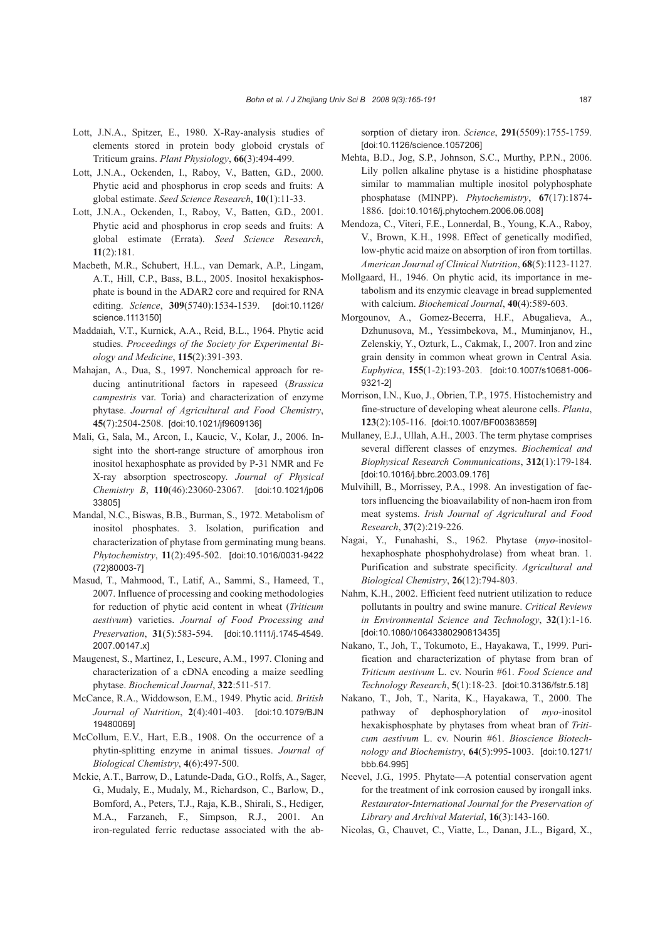- Lott, J.N.A., Spitzer, E., 1980. X-Ray-analysis studies of elements stored in protein body globoid crystals of Triticum grains. *Plant Physiology*, **66**(3):494-499.
- Lott, J.N.A., Ockenden, I., Raboy, V., Batten, G.D., 2000. Phytic acid and phosphorus in crop seeds and fruits: A global estimate. *Seed Science Research*, **10**(1):11-33.
- Lott, J.N.A., Ockenden, I., Raboy, V., Batten, G.D., 2001. Phytic acid and phosphorus in crop seeds and fruits: A global estimate (Errata). *Seed Science Research*, **11**(2):181.
- Macbeth, M.R., Schubert, H.L., van Demark, A.P., Lingam, A.T., Hill, C.P., Bass, B.L., 2005. Inositol hexakisphosphate is bound in the ADAR2 core and required for RNA editing. *Science*, **309**(5740):1534-1539. [doi:10.1126/ science.1113150]
- Maddaiah, V.T., Kurnick, A.A., Reid, B.L., 1964. Phytic acid studies. *Proceedings of the Society for Experimental Biology and Medicine*, **115**(2):391-393.
- Mahajan, A., Dua, S., 1997. Nonchemical approach for reducing antinutritional factors in rapeseed (*Brassica campestris* var. Toria) and characterization of enzyme phytase. *Journal of Agricultural and Food Chemistry*, **45**(7):2504-2508. [doi:10.1021/jf9609136]
- Mali, G., Sala, M., Arcon, I., Kaucic, V., Kolar, J., 2006. Insight into the short-range structure of amorphous iron inositol hexaphosphate as provided by P-31 NMR and Fe X-ray absorption spectroscopy. *Journal of Physical Chemistry B*, **110**(46):23060-23067. [doi:10.1021/jp06 33805]
- Mandal, N.C., Biswas, B.B., Burman, S., 1972. Metabolism of inositol phosphates. 3. Isolation, purification and characterization of phytase from germinating mung beans. *Phytochemistry*, **11**(2):495-502. [doi:10.1016/0031-9422 (72)80003-7]
- Masud, T., Mahmood, T., Latif, A., Sammi, S., Hameed, T., 2007. Influence of processing and cooking methodologies for reduction of phytic acid content in wheat (*Triticum aestivum*) varieties. *Journal of Food Processing and Preservation*, **31**(5):583-594. [doi:10.1111/j.1745-4549. 2007.00147.x]
- Maugenest, S., Martinez, I., Lescure, A.M., 1997. Cloning and characterization of a cDNA encoding a maize seedling phytase. *Biochemical Journal*, **322**:511-517.
- McCance, R.A., Widdowson, E.M., 1949. Phytic acid. *British Journal of Nutrition*, **2**(4):401-403. [doi:10.1079/BJN 19480069]
- McCollum, E.V., Hart, E.B., 1908. On the occurrence of a phytin-splitting enzyme in animal tissues. *Journal of Biological Chemistry*, **4**(6):497-500.
- Mckie, A.T., Barrow, D., Latunde-Dada, G.O., Rolfs, A., Sager, G., Mudaly, E., Mudaly, M., Richardson, C., Barlow, D., Bomford, A., Peters, T.J., Raja, K.B., Shirali, S., Hediger, M.A., Farzaneh, F., Simpson, R.J., 2001. An iron-regulated ferric reductase associated with the ab-

sorption of dietary iron. *Science*, **291**(5509):1755-1759. [doi:10.1126/science.1057206]

- Mehta, B.D., Jog, S.P., Johnson, S.C., Murthy, P.P.N., 2006. Lily pollen alkaline phytase is a histidine phosphatase similar to mammalian multiple inositol polyphosphate phosphatase (MINPP). *Phytochemistry*, **67**(17):1874- 1886. [doi:10.1016/j.phytochem.2006.06.008]
- Mendoza, C., Viteri, F.E., Lonnerdal, B., Young, K.A., Raboy, V., Brown, K.H., 1998. Effect of genetically modified, low-phytic acid maize on absorption of iron from tortillas. *American Journal of Clinical Nutrition*, **68**(5):1123-1127.
- Mollgaard, H., 1946. On phytic acid, its importance in metabolism and its enzymic cleavage in bread supplemented with calcium. *Biochemical Journal*, **40**(4):589-603.
- Morgounov, A., Gomez-Becerra, H.F., Abugalieva, A., Dzhunusova, M., Yessimbekova, M., Muminjanov, H., Zelenskiy, Y., Ozturk, L., Cakmak, I., 2007. Iron and zinc grain density in common wheat grown in Central Asia. *Euphytica*, **155**(1-2):193-203. [doi:10.1007/s10681-006- 9321-2]
- Morrison, I.N., Kuo, J., Obrien, T.P., 1975. Histochemistry and fine-structure of developing wheat aleurone cells. *Planta*, **123**(2):105-116. [doi:10.1007/BF00383859]
- Mullaney, E.J., Ullah, A.H., 2003. The term phytase comprises several different classes of enzymes. *Biochemical and Biophysical Research Communications*, **312**(1):179-184. [doi:10.1016/j.bbrc.2003.09.176]
- Mulvihill, B., Morrissey, P.A., 1998. An investigation of factors influencing the bioavailability of non-haem iron from meat systems. *Irish Journal of Agricultural and Food Research*, **37**(2):219-226.
- Nagai, Y., Funahashi, S., 1962. Phytase (*myo*-inositolhexaphosphate phosphohydrolase) from wheat bran. 1. Purification and substrate specificity. *Agricultural and Biological Chemistry*, **26**(12):794-803.
- Nahm, K.H., 2002. Efficient feed nutrient utilization to reduce pollutants in poultry and swine manure. *Critical Reviews in Environmental Science and Technology*, **32**(1):1-16. [doi:10.1080/10643380290813435]
- Nakano, T., Joh, T., Tokumoto, E., Hayakawa, T., 1999. Purification and characterization of phytase from bran of *Triticum aestivum* L. cv. Nourin #61. *Food Science and Technology Research*, **5**(1):18-23. [doi:10.3136/fstr.5.18]
- Nakano, T., Joh, T., Narita, K., Hayakawa, T., 2000. The pathway of dephosphorylation of *myo*-inositol hexakisphosphate by phytases from wheat bran of *Triticum aestivum* L. cv. Nourin #61. *Bioscience Biotechnology and Biochemistry*, **64**(5):995-1003. [doi:10.1271/ bbb.64.995]
- Neevel, J.G., 1995. Phytate—A potential conservation agent for the treatment of ink corrosion caused by irongall inks. *Restaurator-International Journal for the Preservation of Library and Archival Material*, **16**(3):143-160.
- Nicolas, G., Chauvet, C., Viatte, L., Danan, J.L., Bigard, X.,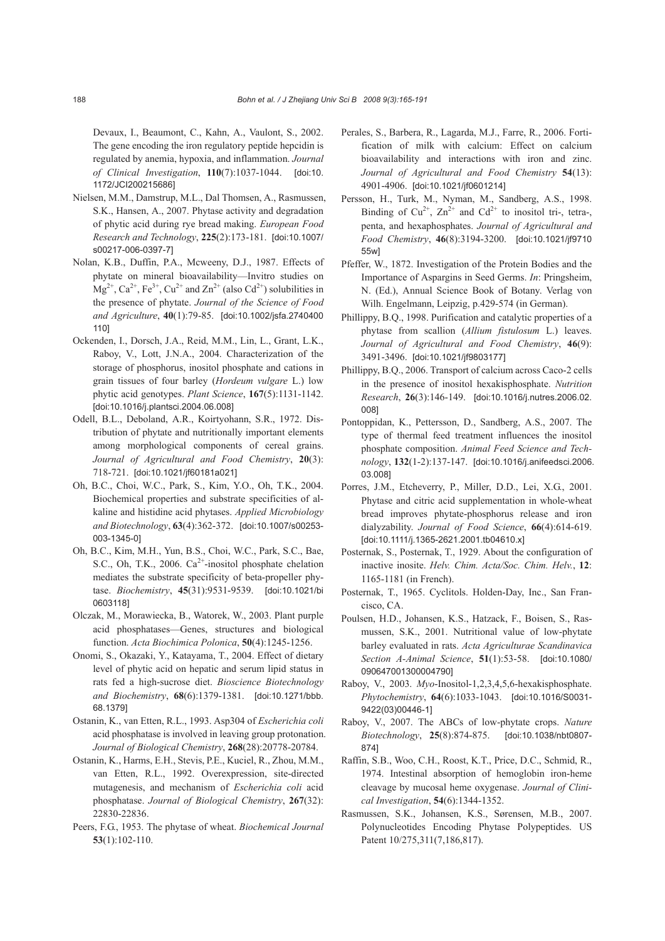Devaux, I., Beaumont, C., Kahn, A., Vaulont, S., 2002. The gene encoding the iron regulatory peptide hepcidin is regulated by anemia, hypoxia, and inflammation. *Journal of Clinical Investigation*, **110**(7):1037-1044. [doi:10. 1172/JCI200215686]

- Nielsen, M.M., Damstrup, M.L., Dal Thomsen, A., Rasmussen, S.K., Hansen, A., 2007. Phytase activity and degradation of phytic acid during rye bread making. *European Food Research and Technology*, **225**(2):173-181. [doi:10.1007/ s00217-006-0397-7]
- Nolan, K.B., Duffin, P.A., Mcweeny, D.J., 1987. Effects of phytate on mineral bioavailability—Invitro studies on  $Mg^{2+}$ ,  $Ca^{2+}$ ,  $Fe^{3+}$ ,  $Cu^{2+}$  and  $Zn^{2+}$  (also  $Cd^{2+}$ ) solubilities in the presence of phytate. *Journal of the Science of Food and Agriculture*, **40**(1):79-85. [doi:10.1002/jsfa.2740400 110]
- Ockenden, I., Dorsch, J.A., Reid, M.M., Lin, L., Grant, L.K., Raboy, V., Lott, J.N.A., 2004. Characterization of the storage of phosphorus, inositol phosphate and cations in grain tissues of four barley (*Hordeum vulgare* L.) low phytic acid genotypes. *Plant Science*, **167**(5):1131-1142. [doi:10.1016/j.plantsci.2004.06.008]
- Odell, B.L., Deboland, A.R., Koirtyohann, S.R., 1972. Distribution of phytate and nutritionally important elements among morphological components of cereal grains. *Journal of Agricultural and Food Chemistry*, **20**(3): 718-721. [doi:10.1021/jf60181a021]
- Oh, B.C., Choi, W.C., Park, S., Kim, Y.O., Oh, T.K., 2004. Biochemical properties and substrate specificities of alkaline and histidine acid phytases. *Applied Microbiology and Biotechnology*, **63**(4):362-372. [doi:10.1007/s00253- 003-1345-0]
- Oh, B.C., Kim, M.H., Yun, B.S., Choi, W.C., Park, S.C., Bae, S.C., Oh, T.K., 2006.  $Ca^{2+}$ -inositol phosphate chelation mediates the substrate specificity of beta-propeller phytase. *Biochemistry*, **45**(31):9531-9539. [doi:10.1021/bi 0603118]
- Olczak, M., Morawiecka, B., Watorek, W., 2003. Plant purple acid phosphatases—Genes, structures and biological function. *Acta Biochimica Polonica*, **50**(4):1245-1256.
- Onomi, S., Okazaki, Y., Katayama, T., 2004. Effect of dietary level of phytic acid on hepatic and serum lipid status in rats fed a high-sucrose diet. *Bioscience Biotechnology and Biochemistry*, **68**(6):1379-1381. [doi:10.1271/bbb. 68.1379]
- Ostanin, K., van Etten, R.L., 1993. Asp304 of *Escherichia coli* acid phosphatase is involved in leaving group protonation. *Journal of Biological Chemistry*, **268**(28):20778-20784.
- Ostanin, K., Harms, E.H., Stevis, P.E., Kuciel, R., Zhou, M.M., van Etten, R.L., 1992. Overexpression, site-directed mutagenesis, and mechanism of *Escherichia coli* acid phosphatase. *Journal of Biological Chemistry*, **267**(32): 22830-22836.
- Peers, F.G., 1953. The phytase of wheat. *Biochemical Journal*  **53**(1):102-110.
- Perales, S., Barbera, R., Lagarda, M.J., Farre, R., 2006. Fortification of milk with calcium: Effect on calcium bioavailability and interactions with iron and zinc. *Journal of Agricultural and Food Chemistry* **54**(13): 4901-4906. [doi:10.1021/jf0601214]
- Persson, H., Turk, M., Nyman, M., Sandberg, A.S., 1998. Binding of  $Cu^{2+}$ ,  $Zn^{2+}$  and  $Cd^{2+}$  to inositol tri-, tetra-, penta, and hexaphosphates. *Journal of Agricultural and Food Chemistry*, **46**(8):3194-3200. [doi:10.1021/jf9710 55w]
- Pfeffer, W., 1872. Investigation of the Protein Bodies and the Importance of Aspargins in Seed Germs. *In*: Pringsheim, N. (Ed.), Annual Science Book of Botany. Verlag von Wilh. Engelmann, Leipzig, p.429-574 (in German).
- Phillippy, B.Q., 1998. Purification and catalytic properties of a phytase from scallion (*Allium fistulosum* L.) leaves. *Journal of Agricultural and Food Chemistry*, **46**(9): 3491-3496. [doi:10.1021/jf9803177]
- Phillippy, B.Q., 2006. Transport of calcium across Caco-2 cells in the presence of inositol hexakisphosphate. *Nutrition Research*, **26**(3):146-149. [doi:10.1016/j.nutres.2006.02. 008]
- Pontoppidan, K., Pettersson, D., Sandberg, A.S., 2007. The type of thermal feed treatment influences the inositol phosphate composition. *Animal Feed Science and Technology*, **132**(1-2):137-147. [doi:10.1016/j.anifeedsci.2006. 03.008]
- Porres, J.M., Etcheverry, P., Miller, D.D., Lei, X.G., 2001. Phytase and citric acid supplementation in whole-wheat bread improves phytate-phosphorus release and iron dialyzability. *Journal of Food Science*, **66**(4):614-619. [doi:10.1111/j.1365-2621.2001.tb04610.x]
- Posternak, S., Posternak, T., 1929. About the configuration of inactive inosite. *Helv. Chim. Acta/Soc. Chim. Helv.*, **12**: 1165-1181 (in French).
- Posternak, T., 1965. Cyclitols. Holden-Day, Inc., San Francisco, CA.
- Poulsen, H.D., Johansen, K.S., Hatzack, F., Boisen, S., Rasmussen, S.K., 2001. Nutritional value of low-phytate barley evaluated in rats. *Acta Agriculturae Scandinavica Section A-Animal Science*, **51**(1):53-58. [doi:10.1080/ 090647001300004790]
- Raboy, V., 2003. *Myo*-Inositol-1,2,3,4,5,6-hexakisphosphate. *Phytochemistry*, **64**(6):1033-1043. [doi:10.1016/S0031- 9422(03)00446-1]
- Raboy, V., 2007. The ABCs of low-phytate crops. *Nature Biotechnology*, **25**(8):874-875. [doi:10.1038/nbt0807- 874]
- Raffin, S.B., Woo, C.H., Roost, K.T., Price, D.C., Schmid, R., 1974. Intestinal absorption of hemoglobin iron-heme cleavage by mucosal heme oxygenase. *Journal of Clinical Investigation*, **54**(6):1344-1352.
- Rasmussen, S.K., Johansen, K.S., Sørensen, M.B., 2007. Polynucleotides Encoding Phytase Polypeptides. US Patent 10/275,311(7,186,817).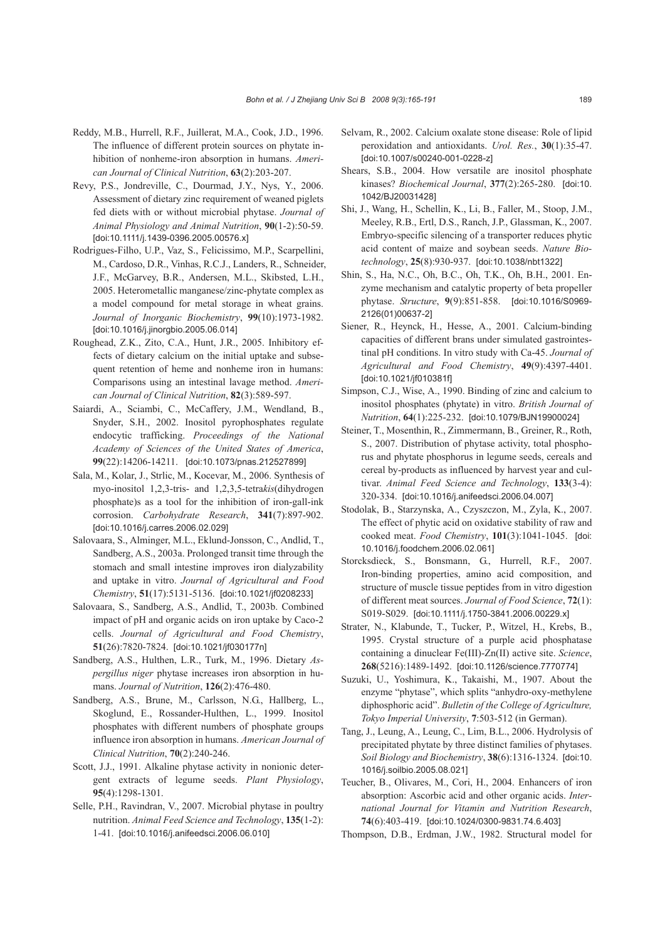- Reddy, M.B., Hurrell, R.F., Juillerat, M.A., Cook, J.D., 1996. The influence of different protein sources on phytate inhibition of nonheme-iron absorption in humans. *American Journal of Clinical Nutrition*, **63**(2):203-207.
- Revy, P.S., Jondreville, C., Dourmad, J.Y., Nys, Y., 2006. Assessment of dietary zinc requirement of weaned piglets fed diets with or without microbial phytase. *Journal of Animal Physiology and Animal Nutrition*, **90**(1-2):50-59. [doi:10.1111/j.1439-0396.2005.00576.x]
- Rodrigues-Filho, U.P., Vaz, S., Felicissimo, M.P., Scarpellini, M., Cardoso, D.R., Vinhas, R.C.J., Landers, R., Schneider, J.F., McGarvey, B.R., Andersen, M.L., Skibsted, L.H., 2005. Heterometallic manganese/zinc-phytate complex as a model compound for metal storage in wheat grains. *Journal of Inorganic Biochemistry*, **99**(10):1973-1982. [doi:10.1016/j.jinorgbio.2005.06.014]
- Roughead, Z.K., Zito, C.A., Hunt, J.R., 2005. Inhibitory effects of dietary calcium on the initial uptake and subsequent retention of heme and nonheme iron in humans: Comparisons using an intestinal lavage method. *American Journal of Clinical Nutrition*, **82**(3):589-597.
- Saiardi, A., Sciambi, C., McCaffery, J.M., Wendland, B., Snyder, S.H., 2002. Inositol pyrophosphates regulate endocytic trafficking. *Proceedings of the National Academy of Sciences of the United States of America*, **99**(22):14206-14211. [doi:10.1073/pnas.212527899]
- Sala, M., Kolar, J., Strlic, M., Kocevar, M., 2006. Synthesis of myo-inositol 1,2,3-tris- and 1,2,3,5-tetra*kis*(dihydrogen phosphate)s as a tool for the inhibition of iron-gall-ink corrosion. *Carbohydrate Research*, **341**(7):897-902. [doi:10.1016/j.carres.2006.02.029]
- Salovaara, S., Alminger, M.L., Eklund-Jonsson, C., Andlid, T., Sandberg, A.S., 2003a. Prolonged transit time through the stomach and small intestine improves iron dialyzability and uptake in vitro. *Journal of Agricultural and Food Chemistry*, **51**(17):5131-5136. [doi:10.1021/jf0208233]
- Salovaara, S., Sandberg, A.S., Andlid, T., 2003b. Combined impact of pH and organic acids on iron uptake by Caco-2 cells. *Journal of Agricultural and Food Chemistry*, **51**(26):7820-7824. [doi:10.1021/jf030177n]
- Sandberg, A.S., Hulthen, L.R., Turk, M., 1996. Dietary *Aspergillus niger* phytase increases iron absorption in humans. *Journal of Nutrition*, **126**(2):476-480.
- Sandberg, A.S., Brune, M., Carlsson, N.G., Hallberg, L., Skoglund, E., Rossander-Hulthen, L., 1999. Inositol phosphates with different numbers of phosphate groups influence iron absorption in humans. *American Journal of Clinical Nutrition*, **70**(2):240-246.
- Scott, J.J., 1991. Alkaline phytase activity in nonionic detergent extracts of legume seeds. *Plant Physiology*, **95**(4):1298-1301.
- Selle, P.H., Ravindran, V., 2007. Microbial phytase in poultry nutrition. *Animal Feed Science and Technology*, **135**(1-2): 1-41. [doi:10.1016/j.anifeedsci.2006.06.010]
- Selvam, R., 2002. Calcium oxalate stone disease: Role of lipid peroxidation and antioxidants. *Urol. Res.*, **30**(1):35-47. [doi:10.1007/s00240-001-0228-z]
- Shears, S.B., 2004. How versatile are inositol phosphate kinases? *Biochemical Journal*, **377**(2):265-280. [doi:10. 1042/BJ20031428]
- Shi, J., Wang, H., Schellin, K., Li, B., Faller, M., Stoop, J.M., Meeley, R.B., Ertl, D.S., Ranch, J.P., Glassman, K., 2007. Embryo-specific silencing of a transporter reduces phytic acid content of maize and soybean seeds. *Nature Biotechnology*, **25**(8):930-937. [doi:10.1038/nbt1322]
- Shin, S., Ha, N.C., Oh, B.C., Oh, T.K., Oh, B.H., 2001. Enzyme mechanism and catalytic property of beta propeller phytase. *Structure*, **9**(9):851-858. [doi:10.1016/S0969- 2126(01)00637-2]
- Siener, R., Heynck, H., Hesse, A., 2001. Calcium-binding capacities of different brans under simulated gastrointestinal pH conditions. In vitro study with Ca-45. *Journal of Agricultural and Food Chemistry*, **49**(9):4397-4401. [doi:10.1021/jf010381f]
- Simpson, C.J., Wise, A., 1990. Binding of zinc and calcium to inositol phosphates (phytate) in vitro. *British Journal of Nutrition*, **64**(1):225-232. [doi:10.1079/BJN19900024]
- Steiner, T., Mosenthin, R., Zimmermann, B., Greiner, R., Roth, S., 2007. Distribution of phytase activity, total phosphorus and phytate phosphorus in legume seeds, cereals and cereal by-products as influenced by harvest year and cultivar. *Animal Feed Science and Technology*, **133**(3-4): 320-334. [doi:10.1016/j.anifeedsci.2006.04.007]
- Stodolak, B., Starzynska, A., Czyszczon, M., Zyla, K., 2007. The effect of phytic acid on oxidative stability of raw and cooked meat. *Food Chemistry*, **101**(3):1041-1045. [doi: 10.1016/j.foodchem.2006.02.061]
- Storcksdieck, S., Bonsmann, G., Hurrell, R.F., 2007. Iron-binding properties, amino acid composition, and structure of muscle tissue peptides from in vitro digestion of different meat sources. *Journal of Food Science*, **72**(1): S019-S029. [doi:10.1111/j.1750-3841.2006.00229.x]
- Strater, N., Klabunde, T., Tucker, P., Witzel, H., Krebs, B., 1995. Crystal structure of a purple acid phosphatase containing a dinuclear Fe(III)-Zn(II) active site. *Science*, **268**(5216):1489-1492. [doi:10.1126/science.7770774]
- Suzuki, U., Yoshimura, K., Takaishi, M., 1907. About the enzyme "phytase", which splits "anhydro-oxy-methylene diphosphoric acid". *Bulletin of the College of Agriculture, Tokyo Imperial University*, **7**:503-512 (in German).
- Tang, J., Leung, A., Leung, C., Lim, B.L., 2006. Hydrolysis of precipitated phytate by three distinct families of phytases. *Soil Biology and Biochemistry*, **38**(6):1316-1324. [doi:10. 1016/j.soilbio.2005.08.021]
- Teucher, B., Olivares, M., Cori, H., 2004. Enhancers of iron absorption: Ascorbic acid and other organic acids. *International Journal for Vitamin and Nutrition Research*, **74**(6):403-419. [doi:10.1024/0300-9831.74.6.403]
- Thompson, D.B., Erdman, J.W., 1982. Structural model for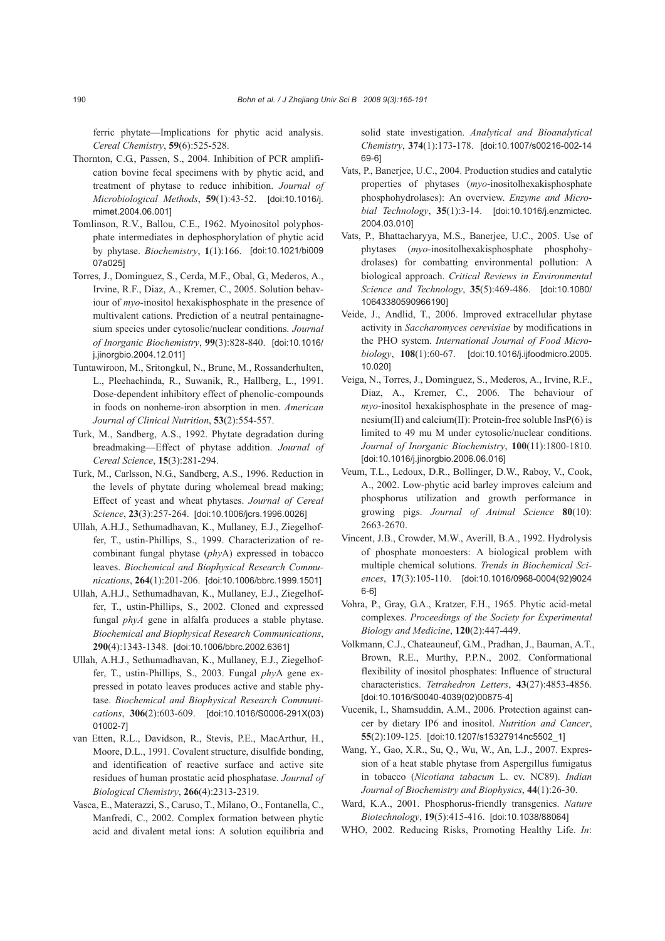ferric phytate—Implications for phytic acid analysis. *Cereal Chemistry*, **59**(6):525-528.

- Thornton, C.G., Passen, S., 2004. Inhibition of PCR amplification bovine fecal specimens with by phytic acid, and treatment of phytase to reduce inhibition. *Journal of Microbiological Methods*, **59**(1):43-52. [doi:10.1016/j. mimet.2004.06.001]
- Tomlinson, R.V., Ballou, C.E., 1962. Myoinositol polyphosphate intermediates in dephosphorylation of phytic acid by phytase. *Biochemistry*, **1**(1):166. [doi:10.1021/bi009 07a025]
- Torres, J., Dominguez, S., Cerda, M.F., Obal, G., Mederos, A., Irvine, R.F., Diaz, A., Kremer, C., 2005. Solution behaviour of *myo*-inositol hexakisphosphate in the presence of multivalent cations. Prediction of a neutral pentainagnesium species under cytosolic/nuclear conditions. *Journal of Inorganic Biochemistry*, **99**(3):828-840. [doi:10.1016/ j.jinorgbio.2004.12.011]
- Tuntawiroon, M., Sritongkul, N., Brune, M., Rossanderhulten, L., Pleehachinda, R., Suwanik, R., Hallberg, L., 1991. Dose-dependent inhibitory effect of phenolic-compounds in foods on nonheme-iron absorption in men. *American Journal of Clinical Nutrition*, **53**(2):554-557.
- Turk, M., Sandberg, A.S., 1992. Phytate degradation during breadmaking—Effect of phytase addition. *Journal of Cereal Science*, **15**(3):281-294.
- Turk, M., Carlsson, N.G., Sandberg, A.S., 1996. Reduction in the levels of phytate during wholemeal bread making; Effect of yeast and wheat phytases. *Journal of Cereal Science*, **23**(3):257-264. [doi:10.1006/jcrs.1996.0026]
- Ullah, A.H.J., Sethumadhavan, K., Mullaney, E.J., Ziegelhoffer, T., ustin-Phillips, S., 1999. Characterization of recombinant fungal phytase (*phy*A) expressed in tobacco leaves. *Biochemical and Biophysical Research Communications*, **264**(1):201-206. [doi:10.1006/bbrc.1999.1501]
- Ullah, A.H.J., Sethumadhavan, K., Mullaney, E.J., Ziegelhoffer, T., ustin-Phillips, S., 2002. Cloned and expressed fungal *phyA* gene in alfalfa produces a stable phytase. *Biochemical and Biophysical Research Communications*, **290**(4):1343-1348. [doi:10.1006/bbrc.2002.6361]
- Ullah, A.H.J., Sethumadhavan, K., Mullaney, E.J., Ziegelhoffer, T., ustin-Phillips, S., 2003. Fungal *phy*A gene expressed in potato leaves produces active and stable phytase. *Biochemical and Biophysical Research Communications*, **306**(2):603-609. [doi:10.1016/S0006-291X(03) 01002-7]
- van Etten, R.L., Davidson, R., Stevis, P.E., MacArthur, H., Moore, D.L., 1991. Covalent structure, disulfide bonding, and identification of reactive surface and active site residues of human prostatic acid phosphatase. *Journal of Biological Chemistry*, **266**(4):2313-2319.
- Vasca, E., Materazzi, S., Caruso, T., Milano, O., Fontanella, C., Manfredi, C., 2002. Complex formation between phytic acid and divalent metal ions: A solution equilibria and

solid state investigation. *Analytical and Bioanalytical Chemistry*, **374**(1):173-178. [doi:10.1007/s00216-002-14 69-6]

- Vats, P., Banerjee, U.C., 2004. Production studies and catalytic properties of phytases (*myo*-inositolhexakisphosphate phosphohydrolases): An overview. *Enzyme and Microbial Technology*, **35**(1):3-14. [doi:10.1016/j.enzmictec. 2004.03.010]
- Vats, P., Bhattacharyya, M.S., Banerjee, U.C., 2005. Use of phytases (*myo*-inositolhexakisphosphate phosphohydrolases) for combatting environmental pollution: A biological approach. *Critical Reviews in Environmental Science and Technology*, **35**(5):469-486. [doi:10.1080/ 10643380590966190]
- Veide, J., Andlid, T., 2006. Improved extracellular phytase activity in *Saccharomyces cerevisiae* by modifications in the PHO system. *International Journal of Food Microbiology*, **108**(1):60-67. [doi:10.1016/j.ijfoodmicro.2005. 10.020]
- Veiga, N., Torres, J., Dominguez, S., Mederos, A., Irvine, R.F., Diaz, A., Kremer, C., 2006. The behaviour of *myo*-inositol hexakisphosphate in the presence of magnesium(II) and calcium(II): Protein-free soluble InsP(6) is limited to 49 mu M under cytosolic/nuclear conditions. *Journal of Inorganic Biochemistry*, **100**(11):1800-1810. [doi:10.1016/j.jinorgbio.2006.06.016]
- Veum, T.L., Ledoux, D.R., Bollinger, D.W., Raboy, V., Cook, A., 2002. Low-phytic acid barley improves calcium and phosphorus utilization and growth performance in growing pigs. *Journal of Animal Science* **80**(10): 2663-2670.
- Vincent, J.B., Crowder, M.W., Averill, B.A., 1992. Hydrolysis of phosphate monoesters: A biological problem with multiple chemical solutions. *Trends in Biochemical Sciences*, **17**(3):105-110. [doi:10.1016/0968-0004(92)9024 6-6]
- Vohra, P., Gray, G.A., Kratzer, F.H., 1965. Phytic acid-metal complexes. *Proceedings of the Society for Experimental Biology and Medicine*, **120**(2):447-449.
- Volkmann, C.J., Chateauneuf, G.M., Pradhan, J., Bauman, A.T., Brown, R.E., Murthy, P.P.N., 2002. Conformational flexibility of inositol phosphates: Influence of structural characteristics. *Tetrahedron Letters*, **43**(27):4853-4856. [doi:10.1016/S0040-4039(02)00875-4]
- Vucenik, I., Shamsuddin, A.M., 2006. Protection against cancer by dietary IP6 and inositol. *Nutrition and Cancer*, **55**(2):109-125. [doi:10.1207/s15327914nc5502\_1]
- Wang, Y., Gao, X.R., Su, Q., Wu, W., An, L.J., 2007. Expression of a heat stable phytase from Aspergillus fumigatus in tobacco (*Nicotiana tabacum* L. cv. NC89). *Indian Journal of Biochemistry and Biophysics*, **44**(1):26-30.
- Ward, K.A., 2001. Phosphorus-friendly transgenics. *Nature Biotechnology*, **19**(5):415-416. [doi:10.1038/88064]
- WHO, 2002. Reducing Risks, Promoting Healthy Life. *In*: